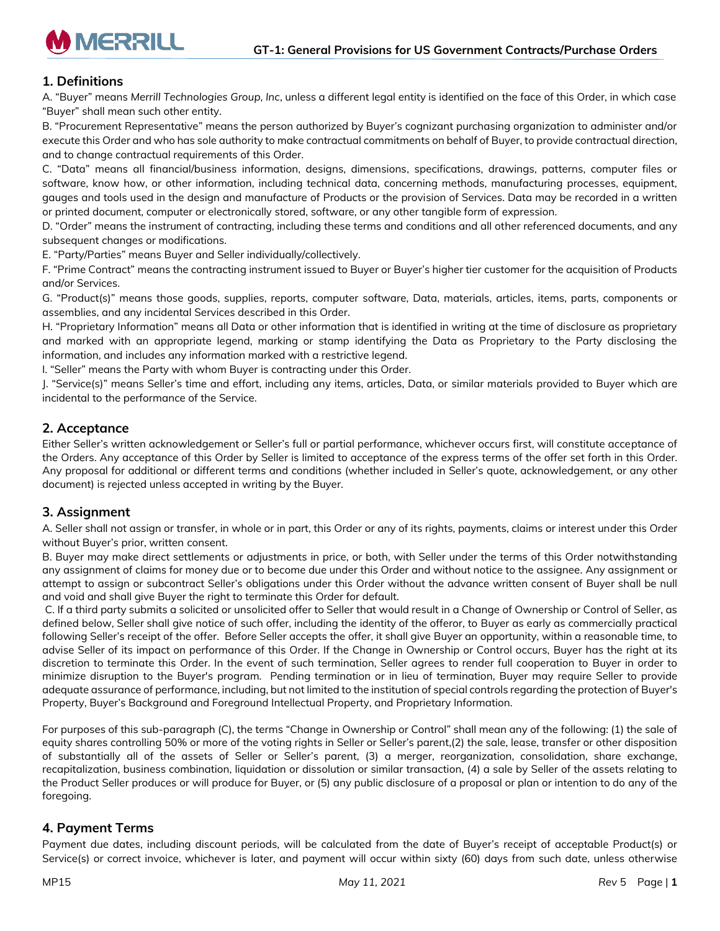

# **1. Definitions**

A. "Buyer" means *Merrill Technologies Group, Inc*, unless a different legal entity is identified on the face of this Order, in which case "Buyer" shall mean such other entity.

B. "Procurement Representative" means the person authorized by Buyer's cognizant purchasing organization to administer and/or execute this Order and who has sole authority to make contractual commitments on behalf of Buyer, to provide contractual direction, and to change contractual requirements of this Order.

C. "Data" means all financial/business information, designs, dimensions, specifications, drawings, patterns, computer files or software, know how, or other information, including technical data, concerning methods, manufacturing processes, equipment, gauges and tools used in the design and manufacture of Products or the provision of Services. Data may be recorded in a written or printed document, computer or electronically stored, software, or any other tangible form of expression.

D. "Order" means the instrument of contracting, including these terms and conditions and all other referenced documents, and any subsequent changes or modifications.

E. "Party/Parties" means Buyer and Seller individually/collectively.

F. "Prime Contract" means the contracting instrument issued to Buyer or Buyer's higher tier customer for the acquisition of Products and/or Services.

G. "Product(s)" means those goods, supplies, reports, computer software, Data, materials, articles, items, parts, components or assemblies, and any incidental Services described in this Order.

H. "Proprietary Information" means all Data or other information that is identified in writing at the time of disclosure as proprietary and marked with an appropriate legend, marking or stamp identifying the Data as Proprietary to the Party disclosing the information, and includes any information marked with a restrictive legend.

I. "Seller" means the Party with whom Buyer is contracting under this Order.

J. "Service(s)" means Seller's time and effort, including any items, articles, Data, or similar materials provided to Buyer which are incidental to the performance of the Service.

# **2. Acceptance**

Either Seller's written acknowledgement or Seller's full or partial performance, whichever occurs first, will constitute acceptance of the Orders. Any acceptance of this Order by Seller is limited to acceptance of the express terms of the offer set forth in this Order. Any proposal for additional or different terms and conditions (whether included in Seller's quote, acknowledgement, or any other document) is rejected unless accepted in writing by the Buyer.

# **3. Assignment**

A. Seller shall not assign or transfer, in whole or in part, this Order or any of its rights, payments, claims or interest under this Order without Buyer's prior, written consent.

B. Buyer may make direct settlements or adjustments in price, or both, with Seller under the terms of this Order notwithstanding any assignment of claims for money due or to become due under this Order and without notice to the assignee. Any assignment or attempt to assign or subcontract Seller's obligations under this Order without the advance written consent of Buyer shall be null and void and shall give Buyer the right to terminate this Order for default.

C. If a third party submits a solicited or unsolicited offer to Seller that would result in a Change of Ownership or Control of Seller, as defined below, Seller shall give notice of such offer, including the identity of the offeror, to Buyer as early as commercially practical following Seller's receipt of the offer. Before Seller accepts the offer, it shall give Buyer an opportunity, within a reasonable time, to advise Seller of its impact on performance of this Order. If the Change in Ownership or Control occurs, Buyer has the right at its discretion to terminate this Order. In the event of such termination, Seller agrees to render full cooperation to Buyer in order to minimize disruption to the Buyer's program. Pending termination or in lieu of termination, Buyer may require Seller to provide adequate assurance of performance, including, but not limited to the institution of special controls regarding the protection of Buyer's Property, Buyer's Background and Foreground Intellectual Property, and Proprietary Information.

For purposes of this sub-paragraph (C), the terms "Change in Ownership or Control" shall mean any of the following: (1) the sale of equity shares controlling 50% or more of the voting rights in Seller or Seller's parent,(2) the sale, lease, transfer or other disposition of substantially all of the assets of Seller or Seller's parent, (3) a merger, reorganization, consolidation, share exchange, recapitalization, business combination, liquidation or dissolution or similar transaction, (4) a sale by Seller of the assets relating to the Product Seller produces or will produce for Buyer, or (5) any public disclosure of a proposal or plan or intention to do any of the foregoing.

# **4. Payment Terms**

Payment due dates, including discount periods, will be calculated from the date of Buyer's receipt of acceptable Product(s) or Service(s) or correct invoice, whichever is later, and payment will occur within sixty (60) days from such date, unless otherwise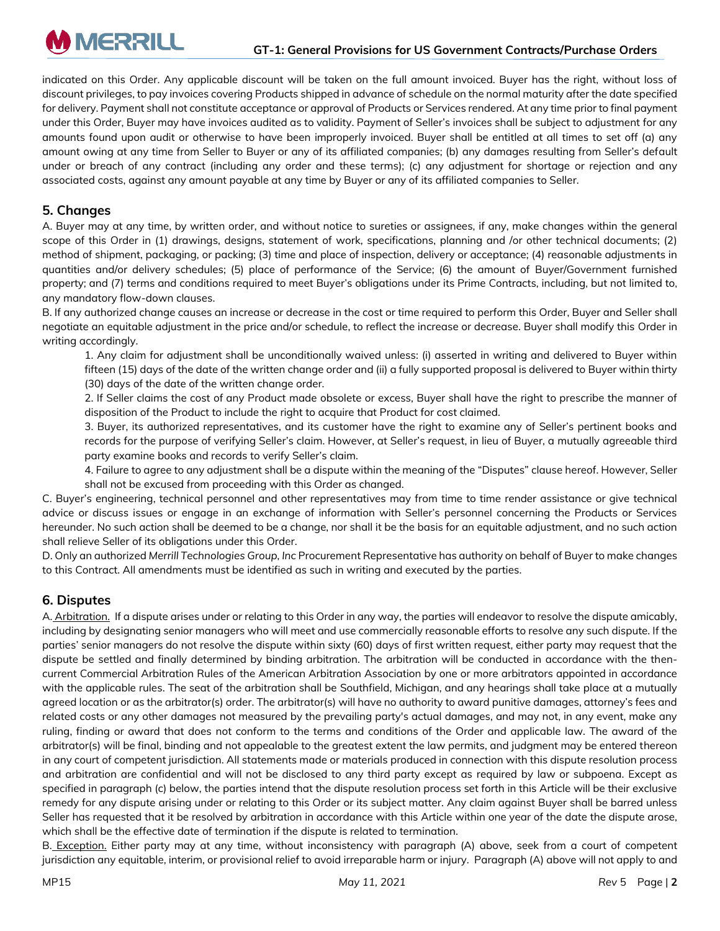indicated on this Order. Any applicable discount will be taken on the full amount invoiced. Buyer has the right, without loss of discount privileges, to pay invoices covering Products shipped in advance of schedule on the normal maturity after the date specified for delivery. Payment shall not constitute acceptance or approval of Products or Services rendered. At any time prior to final payment under this Order, Buyer may have invoices audited as to validity. Payment of Seller's invoices shall be subject to adjustment for any amounts found upon audit or otherwise to have been improperly invoiced. Buyer shall be entitled at all times to set off (a) any amount owing at any time from Seller to Buyer or any of its affiliated companies; (b) any damages resulting from Seller's default under or breach of any contract (including any order and these terms); (c) any adjustment for shortage or rejection and any associated costs, against any amount payable at any time by Buyer or any of its affiliated companies to Seller.

# **5. Changes**

A. Buyer may at any time, by written order, and without notice to sureties or assignees, if any, make changes within the general scope of this Order in (1) drawings, designs, statement of work, specifications, planning and /or other technical documents; (2) method of shipment, packaging, or packing; (3) time and place of inspection, delivery or acceptance; (4) reasonable adjustments in quantities and/or delivery schedules; (5) place of performance of the Service; (6) the amount of Buyer/Government furnished property; and (7) terms and conditions required to meet Buyer's obligations under its Prime Contracts, including, but not limited to, any mandatory flow-down clauses.

B. If any authorized change causes an increase or decrease in the cost or time required to perform this Order, Buyer and Seller shall negotiate an equitable adjustment in the price and/or schedule, to reflect the increase or decrease. Buyer shall modify this Order in writing accordingly.

1. Any claim for adjustment shall be unconditionally waived unless: (i) asserted in writing and delivered to Buyer within fifteen (15) days of the date of the written change order and (ii) a fully supported proposal is delivered to Buyer within thirty (30) days of the date of the written change order.

2. If Seller claims the cost of any Product made obsolete or excess, Buyer shall have the right to prescribe the manner of disposition of the Product to include the right to acquire that Product for cost claimed.

3. Buyer, its authorized representatives, and its customer have the right to examine any of Seller's pertinent books and records for the purpose of verifying Seller's claim. However, at Seller's request, in lieu of Buyer, a mutually agreeable third party examine books and records to verify Seller's claim.

4. Failure to agree to any adjustment shall be a dispute within the meaning of the "Disputes" clause hereof. However, Seller shall not be excused from proceeding with this Order as changed.

C. Buyer's engineering, technical personnel and other representatives may from time to time render assistance or give technical advice or discuss issues or engage in an exchange of information with Seller's personnel concerning the Products or Services hereunder. No such action shall be deemed to be a change, nor shall it be the basis for an equitable adjustment, and no such action shall relieve Seller of its obligations under this Order.

D. Only an authorized *Merrill Technologies Group, Inc* Procurement Representative has authority on behalf of Buyer to make changes to this Contract. All amendments must be identified as such in writing and executed by the parties.

# **6. Disputes**

A. Arbitration. If a dispute arises under or relating to this Order in any way, the parties will endeavor to resolve the dispute amicably, including by designating senior managers who will meet and use commercially reasonable efforts to resolve any such dispute. If the parties' senior managers do not resolve the dispute within sixty (60) days of first written request, either party may request that the dispute be settled and finally determined by binding arbitration. The arbitration will be conducted in accordance with the thencurrent Commercial Arbitration Rules of the American Arbitration Association by one or more arbitrators appointed in accordance with the applicable rules. The seat of the arbitration shall be Southfield, Michigan, and any hearings shall take place at a mutually agreed location or as the arbitrator(s) order. The arbitrator(s) will have no authority to award punitive damages, attorney's fees and related costs or any other damages not measured by the prevailing party's actual damages, and may not, in any event, make any ruling, finding or award that does not conform to the terms and conditions of the Order and applicable law. The award of the arbitrator(s) will be final, binding and not appealable to the greatest extent the law permits, and judgment may be entered thereon in any court of competent jurisdiction. All statements made or materials produced in connection with this dispute resolution process and arbitration are confidential and will not be disclosed to any third party except as required by law or subpoena. Except as specified in paragraph (c) below, the parties intend that the dispute resolution process set forth in this Article will be their exclusive remedy for any dispute arising under or relating to this Order or its subject matter. Any claim against Buyer shall be barred unless Seller has requested that it be resolved by arbitration in accordance with this Article within one year of the date the dispute arose, which shall be the effective date of termination if the dispute is related to termination.

B. Exception. Either party may at any time, without inconsistency with paragraph (A) above, seek from a court of competent jurisdiction any equitable, interim, or provisional relief to avoid irreparable harm or injury. Paragraph (A) above will not apply to and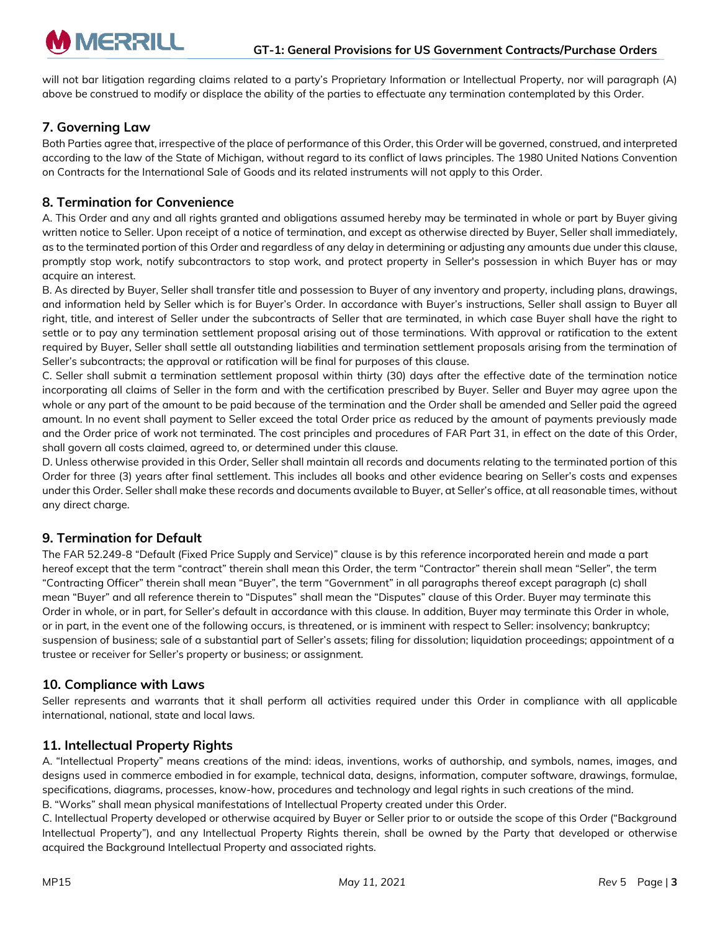will not bar litigation regarding claims related to a party's Proprietary Information or Intellectual Property, nor will paragraph (A) above be construed to modify or displace the ability of the parties to effectuate any termination contemplated by this Order.

# **7. Governing Law**

**M** MERRILL

Both Parties agree that, irrespective of the place of performance of this Order, this Order will be governed, construed, and interpreted according to the law of the State of Michigan, without regard to its conflict of laws principles. The 1980 United Nations Convention on Contracts for the International Sale of Goods and its related instruments will not apply to this Order.

# **8. Termination for Convenience**

A. This Order and any and all rights granted and obligations assumed hereby may be terminated in whole or part by Buyer giving written notice to Seller. Upon receipt of a notice of termination, and except as otherwise directed by Buyer, Seller shall immediately, as to the terminated portion of this Order and regardless of any delay in determining or adjusting any amounts due under this clause, promptly stop work, notify subcontractors to stop work, and protect property in Seller's possession in which Buyer has or may acquire an interest.

B. As directed by Buyer, Seller shall transfer title and possession to Buyer of any inventory and property, including plans, drawings, and information held by Seller which is for Buyer's Order. In accordance with Buyer's instructions, Seller shall assign to Buyer all right, title, and interest of Seller under the subcontracts of Seller that are terminated, in which case Buyer shall have the right to settle or to pay any termination settlement proposal arising out of those terminations. With approval or ratification to the extent required by Buyer, Seller shall settle all outstanding liabilities and termination settlement proposals arising from the termination of Seller's subcontracts; the approval or ratification will be final for purposes of this clause.

C. Seller shall submit a termination settlement proposal within thirty (30) days after the effective date of the termination notice incorporating all claims of Seller in the form and with the certification prescribed by Buyer. Seller and Buyer may agree upon the whole or any part of the amount to be paid because of the termination and the Order shall be amended and Seller paid the agreed amount. In no event shall payment to Seller exceed the total Order price as reduced by the amount of payments previously made and the Order price of work not terminated. The cost principles and procedures of FAR Part 31, in effect on the date of this Order, shall govern all costs claimed, agreed to, or determined under this clause.

D. Unless otherwise provided in this Order, Seller shall maintain all records and documents relating to the terminated portion of this Order for three (3) years after final settlement. This includes all books and other evidence bearing on Seller's costs and expenses under this Order. Seller shall make these records and documents available to Buyer, at Seller's office, at all reasonable times, without any direct charge.

# **9. Termination for Default**

The FAR 52.249-8 "Default (Fixed Price Supply and Service)" clause is by this reference incorporated herein and made a part hereof except that the term "contract" therein shall mean this Order, the term "Contractor" therein shall mean "Seller", the term "Contracting Officer" therein shall mean "Buyer", the term "Government" in all paragraphs thereof except paragraph (c) shall mean "Buyer" and all reference therein to "Disputes" shall mean the "Disputes" clause of this Order. Buyer may terminate this Order in whole, or in part, for Seller's default in accordance with this clause. In addition, Buyer may terminate this Order in whole, or in part, in the event one of the following occurs, is threatened, or is imminent with respect to Seller: insolvency; bankruptcy; suspension of business; sale of a substantial part of Seller's assets; filing for dissolution; liquidation proceedings; appointment of a trustee or receiver for Seller's property or business; or assignment.

# **10. Compliance with Laws**

Seller represents and warrants that it shall perform all activities required under this Order in compliance with all applicable international, national, state and local laws.

# **11. Intellectual Property Rights**

A. "Intellectual Property" means creations of the mind: ideas, inventions, works of authorship, and symbols, names, images, and designs used in commerce embodied in for example, technical data, designs, information, computer software, drawings, formulae, specifications, diagrams, processes, know-how, procedures and technology and legal rights in such creations of the mind.

B. "Works" shall mean physical manifestations of Intellectual Property created under this Order.

C. Intellectual Property developed or otherwise acquired by Buyer or Seller prior to or outside the scope of this Order ("Background Intellectual Property"), and any Intellectual Property Rights therein, shall be owned by the Party that developed or otherwise acquired the Background Intellectual Property and associated rights.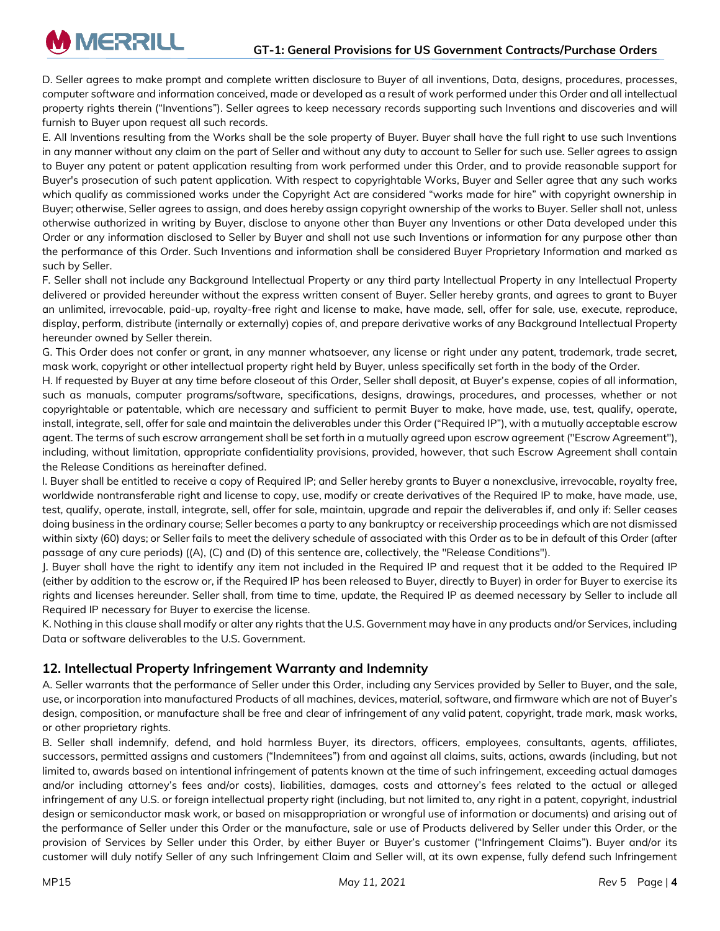D. Seller agrees to make prompt and complete written disclosure to Buyer of all inventions, Data, designs, procedures, processes, computer software and information conceived, made or developed as a result of work performed under this Order and all intellectual property rights therein ("Inventions"). Seller agrees to keep necessary records supporting such Inventions and discoveries and will furnish to Buyer upon request all such records.

E. All Inventions resulting from the Works shall be the sole property of Buyer. Buyer shall have the full right to use such Inventions in any manner without any claim on the part of Seller and without any duty to account to Seller for such use. Seller agrees to assign to Buyer any patent or patent application resulting from work performed under this Order, and to provide reasonable support for Buyer's prosecution of such patent application. With respect to copyrightable Works, Buyer and Seller agree that any such works which qualify as commissioned works under the Copyright Act are considered "works made for hire" with copyright ownership in Buyer; otherwise, Seller agrees to assign, and does hereby assign copyright ownership of the works to Buyer. Seller shall not, unless otherwise authorized in writing by Buyer, disclose to anyone other than Buyer any Inventions or other Data developed under this Order or any information disclosed to Seller by Buyer and shall not use such Inventions or information for any purpose other than the performance of this Order. Such Inventions and information shall be considered Buyer Proprietary Information and marked as such by Seller.

F. Seller shall not include any Background Intellectual Property or any third party Intellectual Property in any Intellectual Property delivered or provided hereunder without the express written consent of Buyer. Seller hereby grants, and agrees to grant to Buyer an unlimited, irrevocable, paid-up, royalty-free right and license to make, have made, sell, offer for sale, use, execute, reproduce, display, perform, distribute (internally or externally) copies of, and prepare derivative works of any Background Intellectual Property hereunder owned by Seller therein.

G. This Order does not confer or grant, in any manner whatsoever, any license or right under any patent, trademark, trade secret, mask work, copyright or other intellectual property right held by Buyer, unless specifically set forth in the body of the Order.

H. If requested by Buyer at any time before closeout of this Order, Seller shall deposit, at Buyer's expense, copies of all information, such as manuals, computer programs/software, specifications, designs, drawings, procedures, and processes, whether or not copyrightable or patentable, which are necessary and sufficient to permit Buyer to make, have made, use, test, qualify, operate, install, integrate, sell, offer for sale and maintain the deliverables under this Order ("Required IP"), with a mutually acceptable escrow agent. The terms of such escrow arrangement shall be set forth in a mutually agreed upon escrow agreement ("Escrow Agreement"), including, without limitation, appropriate confidentiality provisions, provided, however, that such Escrow Agreement shall contain the Release Conditions as hereinafter defined.

I. Buyer shall be entitled to receive a copy of Required IP; and Seller hereby grants to Buyer a nonexclusive, irrevocable, royalty free, worldwide nontransferable right and license to copy, use, modify or create derivatives of the Required IP to make, have made, use, test, qualify, operate, install, integrate, sell, offer for sale, maintain, upgrade and repair the deliverables if, and only if: Seller ceases doing business in the ordinary course; Seller becomes a party to any bankruptcy or receivership proceedings which are not dismissed within sixty (60) days; or Seller fails to meet the delivery schedule of associated with this Order as to be in default of this Order (after passage of any cure periods) ((A), (C) and (D) of this sentence are, collectively, the "Release Conditions").

J. Buyer shall have the right to identify any item not included in the Required IP and request that it be added to the Required IP (either by addition to the escrow or, if the Required IP has been released to Buyer, directly to Buyer) in order for Buyer to exercise its rights and licenses hereunder. Seller shall, from time to time, update, the Required IP as deemed necessary by Seller to include all Required IP necessary for Buyer to exercise the license.

K. Nothing in this clause shall modify or alter any rights that the U.S. Government may have in any products and/or Services, including Data or software deliverables to the U.S. Government.

# **12. Intellectual Property Infringement Warranty and Indemnity**

A. Seller warrants that the performance of Seller under this Order, including any Services provided by Seller to Buyer, and the sale, use, or incorporation into manufactured Products of all machines, devices, material, software, and firmware which are not of Buyer's design, composition, or manufacture shall be free and clear of infringement of any valid patent, copyright, trade mark, mask works, or other proprietary rights.

B. Seller shall indemnify, defend, and hold harmless Buyer, its directors, officers, employees, consultants, agents, affiliates, successors, permitted assigns and customers ("Indemnitees") from and against all claims, suits, actions, awards (including, but not limited to, awards based on intentional infringement of patents known at the time of such infringement, exceeding actual damages and/or including attorney's fees and/or costs), liabilities, damages, costs and attorney's fees related to the actual or alleged infringement of any U.S. or foreign intellectual property right (including, but not limited to, any right in a patent, copyright, industrial design or semiconductor mask work, or based on misappropriation or wrongful use of information or documents) and arising out of the performance of Seller under this Order or the manufacture, sale or use of Products delivered by Seller under this Order, or the provision of Services by Seller under this Order, by either Buyer or Buyer's customer ("Infringement Claims"). Buyer and/or its customer will duly notify Seller of any such Infringement Claim and Seller will, at its own expense, fully defend such Infringement

**M** MERRILL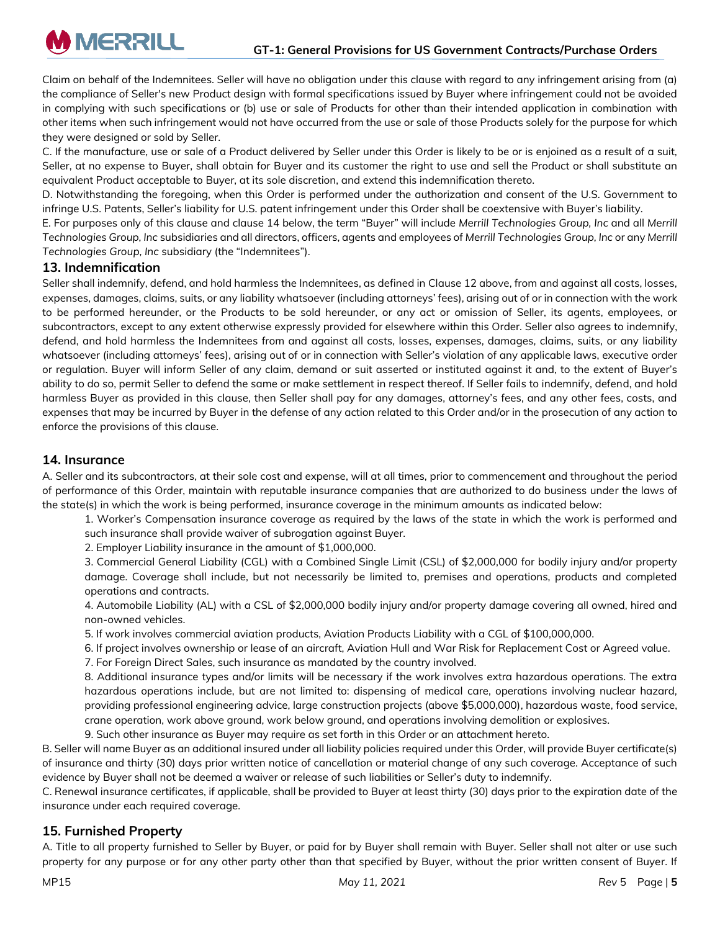Claim on behalf of the Indemnitees. Seller will have no obligation under this clause with regard to any infringement arising from (a) the compliance of Seller's new Product design with formal specifications issued by Buyer where infringement could not be avoided in complying with such specifications or (b) use or sale of Products for other than their intended application in combination with other items when such infringement would not have occurred from the use or sale of those Products solely for the purpose for which they were designed or sold by Seller.

C. If the manufacture, use or sale of a Product delivered by Seller under this Order is likely to be or is enjoined as a result of a suit, Seller, at no expense to Buyer, shall obtain for Buyer and its customer the right to use and sell the Product or shall substitute an equivalent Product acceptable to Buyer, at its sole discretion, and extend this indemnification thereto.

D. Notwithstanding the foregoing, when this Order is performed under the authorization and consent of the U.S. Government to infringe U.S. Patents, Seller's liability for U.S. patent infringement under this Order shall be coextensive with Buyer's liability.

E. For purposes only of this clause and clause 14 below, the term "Buyer" will include *Merrill Technologies Group, Inc* and all *Merrill Technologies Group, Inc* subsidiaries and all directors, officers, agents and employees of *Merrill Technologies Group, Inc* or any *Merrill Technologies Group, Inc* subsidiary (the "Indemnitees").

### **13. Indemnification**

Seller shall indemnify, defend, and hold harmless the Indemnitees, as defined in Clause 12 above, from and against all costs, losses, expenses, damages, claims, suits, or any liability whatsoever (including attorneys' fees), arising out of or in connection with the work to be performed hereunder, or the Products to be sold hereunder, or any act or omission of Seller, its agents, employees, or subcontractors, except to any extent otherwise expressly provided for elsewhere within this Order. Seller also agrees to indemnify, defend, and hold harmless the Indemnitees from and against all costs, losses, expenses, damages, claims, suits, or any liability whatsoever (including attorneys' fees), arising out of or in connection with Seller's violation of any applicable laws, executive order or regulation. Buyer will inform Seller of any claim, demand or suit asserted or instituted against it and, to the extent of Buyer's ability to do so, permit Seller to defend the same or make settlement in respect thereof. If Seller fails to indemnify, defend, and hold harmless Buyer as provided in this clause, then Seller shall pay for any damages, attorney's fees, and any other fees, costs, and expenses that may be incurred by Buyer in the defense of any action related to this Order and/or in the prosecution of any action to enforce the provisions of this clause.

## **14. Insurance**

A. Seller and its subcontractors, at their sole cost and expense, will at all times, prior to commencement and throughout the period of performance of this Order, maintain with reputable insurance companies that are authorized to do business under the laws of the state(s) in which the work is being performed, insurance coverage in the minimum amounts as indicated below:

1. Worker's Compensation insurance coverage as required by the laws of the state in which the work is performed and such insurance shall provide waiver of subrogation against Buyer.

2. Employer Liability insurance in the amount of \$1,000,000.

3. Commercial General Liability (CGL) with a Combined Single Limit (CSL) of \$2,000,000 for bodily injury and/or property damage. Coverage shall include, but not necessarily be limited to, premises and operations, products and completed operations and contracts.

4. Automobile Liability (AL) with a CSL of \$2,000,000 bodily injury and/or property damage covering all owned, hired and non-owned vehicles.

5. If work involves commercial aviation products, Aviation Products Liability with a CGL of \$100,000,000.

6. If project involves ownership or lease of an aircraft, Aviation Hull and War Risk for Replacement Cost or Agreed value.

7. For Foreign Direct Sales, such insurance as mandated by the country involved.

8. Additional insurance types and/or limits will be necessary if the work involves extra hazardous operations. The extra hazardous operations include, but are not limited to: dispensing of medical care, operations involving nuclear hazard, providing professional engineering advice, large construction projects (above \$5,000,000), hazardous waste, food service, crane operation, work above ground, work below ground, and operations involving demolition or explosives.

9. Such other insurance as Buyer may require as set forth in this Order or an attachment hereto.

B. Seller will name Buyer as an additional insured under all liability policies required under this Order, will provide Buyer certificate(s) of insurance and thirty (30) days prior written notice of cancellation or material change of any such coverage. Acceptance of such evidence by Buyer shall not be deemed a waiver or release of such liabilities or Seller's duty to indemnify.

C. Renewal insurance certificates, if applicable, shall be provided to Buyer at least thirty (30) days prior to the expiration date of the insurance under each required coverage.

# **15. Furnished Property**

A. Title to all property furnished to Seller by Buyer, or paid for by Buyer shall remain with Buyer. Seller shall not alter or use such property for any purpose or for any other party other than that specified by Buyer, without the prior written consent of Buyer. If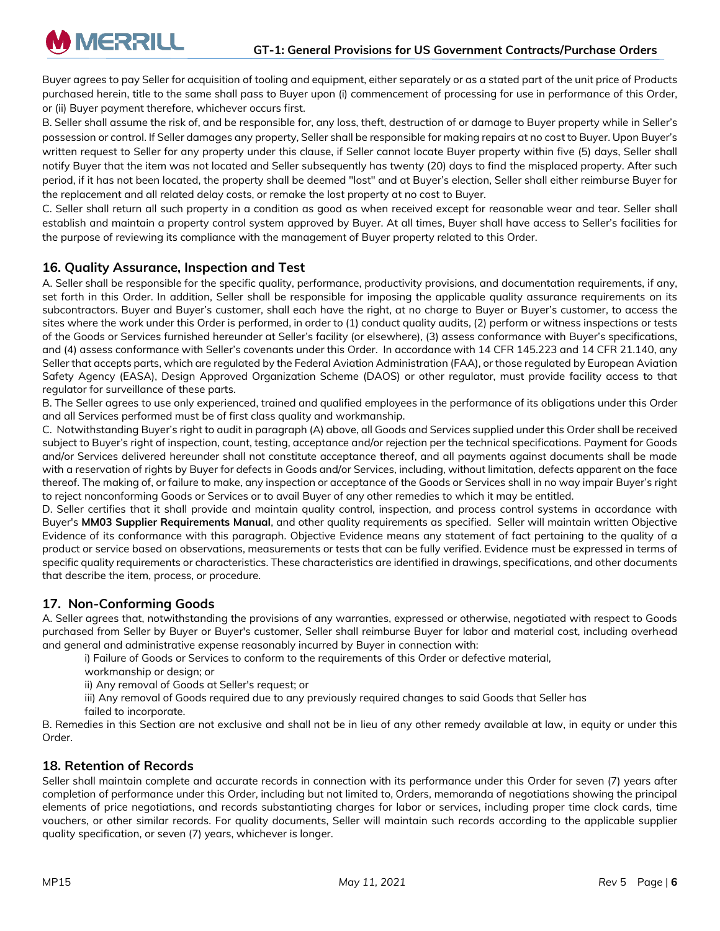Buyer agrees to pay Seller for acquisition of tooling and equipment, either separately or as a stated part of the unit price of Products purchased herein, title to the same shall pass to Buyer upon (i) commencement of processing for use in performance of this Order, or (ii) Buyer payment therefore, whichever occurs first.

B. Seller shall assume the risk of, and be responsible for, any loss, theft, destruction of or damage to Buyer property while in Seller's possession or control. If Seller damages any property, Seller shall be responsible for making repairs at no cost to Buyer. Upon Buyer's written request to Seller for any property under this clause, if Seller cannot locate Buyer property within five (5) days, Seller shall notify Buyer that the item was not located and Seller subsequently has twenty (20) days to find the misplaced property. After such period, if it has not been located, the property shall be deemed "lost" and at Buyer's election, Seller shall either reimburse Buyer for the replacement and all related delay costs, or remake the lost property at no cost to Buyer.

C. Seller shall return all such property in a condition as good as when received except for reasonable wear and tear. Seller shall establish and maintain a property control system approved by Buyer. At all times, Buyer shall have access to Seller's facilities for the purpose of reviewing its compliance with the management of Buyer property related to this Order.

# **16. Quality Assurance, Inspection and Test**

**M** MERRILL

A. Seller shall be responsible for the specific quality, performance, productivity provisions, and documentation requirements, if any, set forth in this Order. In addition, Seller shall be responsible for imposing the applicable quality assurance requirements on its subcontractors. Buyer and Buyer's customer, shall each have the right, at no charge to Buyer or Buyer's customer, to access the sites where the work under this Order is performed, in order to (1) conduct quality audits, (2) perform or witness inspections or tests of the Goods or Services furnished hereunder at Seller's facility (or elsewhere), (3) assess conformance with Buyer's specifications, and (4) assess conformance with Seller's covenants under this Order. In accordance with 14 CFR 145.223 and 14 CFR 21.140, any Seller that accepts parts, which are regulated by the Federal Aviation Administration (FAA), or those regulated by European Aviation Safety Agency (EASA), Design Approved Organization Scheme (DAOS) or other regulator, must provide facility access to that regulator for surveillance of these parts.

B. The Seller agrees to use only experienced, trained and qualified employees in the performance of its obligations under this Order and all Services performed must be of first class quality and workmanship.

C. Notwithstanding Buyer's right to audit in paragraph (A) above, all Goods and Services supplied under this Order shall be received subject to Buyer's right of inspection, count, testing, acceptance and/or rejection per the technical specifications. Payment for Goods and/or Services delivered hereunder shall not constitute acceptance thereof, and all payments against documents shall be made with a reservation of rights by Buyer for defects in Goods and/or Services, including, without limitation, defects apparent on the face thereof. The making of, or failure to make, any inspection or acceptance of the Goods or Services shall in no way impair Buyer's right to reject nonconforming Goods or Services or to avail Buyer of any other remedies to which it may be entitled.

D. Seller certifies that it shall provide and maintain quality control, inspection, and process control systems in accordance with Buyer's **MM03 Supplier Requirements Manual**, and other quality requirements as specified. Seller will maintain written Objective Evidence of its conformance with this paragraph. Objective Evidence means any statement of fact pertaining to the quality of a product or service based on observations, measurements or tests that can be fully verified. Evidence must be expressed in terms of specific quality requirements or characteristics. These characteristics are identified in drawings, specifications, and other documents that describe the item, process, or procedure.

# **17. Non-Conforming Goods**

A. Seller agrees that, notwithstanding the provisions of any warranties, expressed or otherwise, negotiated with respect to Goods purchased from Seller by Buyer or Buyer's customer, Seller shall reimburse Buyer for labor and material cost, including overhead and general and administrative expense reasonably incurred by Buyer in connection with:

i) Failure of Goods or Services to conform to the requirements of this Order or defective material,

workmanship or design; or

ii) Any removal of Goods at Seller's request; or

iii) Any removal of Goods required due to any previously required changes to said Goods that Seller has failed to incorporate.

B. Remedies in this Section are not exclusive and shall not be in lieu of any other remedy available at law, in equity or under this Order.

# **18. Retention of Records**

Seller shall maintain complete and accurate records in connection with its performance under this Order for seven (7) years after completion of performance under this Order, including but not limited to, Orders, memoranda of negotiations showing the principal elements of price negotiations, and records substantiating charges for labor or services, including proper time clock cards, time vouchers, or other similar records. For quality documents, Seller will maintain such records according to the applicable supplier quality specification, or seven (7) years, whichever is longer.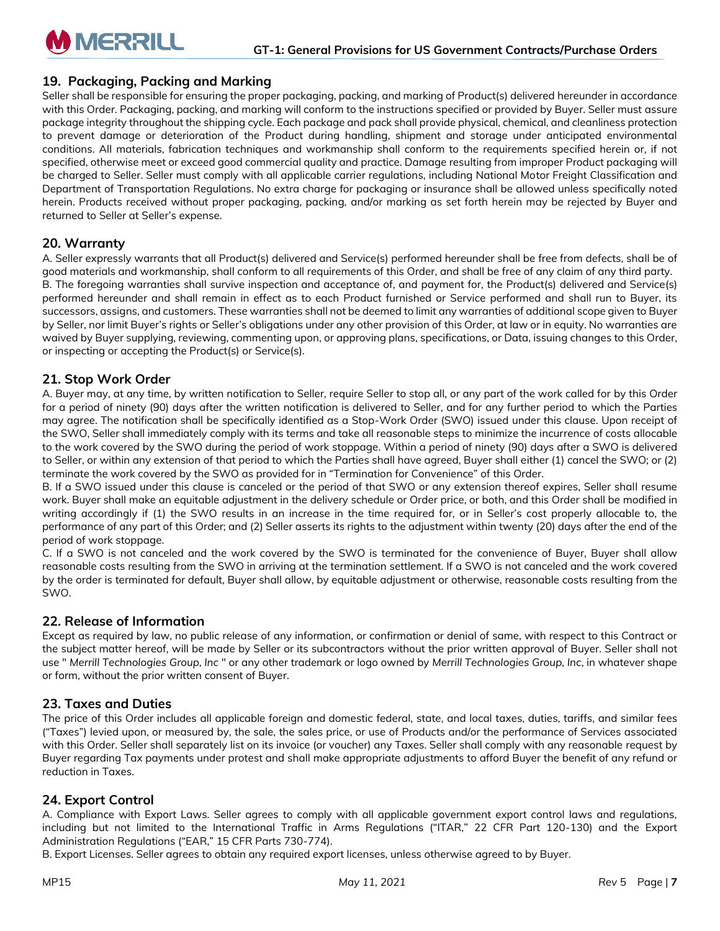

# **19. Packaging, Packing and Marking**

Seller shall be responsible for ensuring the proper packaging, packing, and marking of Product(s) delivered hereunder in accordance with this Order. Packaging, packing, and marking will conform to the instructions specified or provided by Buyer. Seller must assure package integrity throughout the shipping cycle. Each package and pack shall provide physical, chemical, and cleanliness protection to prevent damage or deterioration of the Product during handling, shipment and storage under anticipated environmental conditions. All materials, fabrication techniques and workmanship shall conform to the requirements specified herein or, if not specified, otherwise meet or exceed good commercial quality and practice. Damage resulting from improper Product packaging will be charged to Seller. Seller must comply with all applicable carrier regulations, including National Motor Freight Classification and Department of Transportation Regulations. No extra charge for packaging or insurance shall be allowed unless specifically noted herein. Products received without proper packaging, packing, and/or marking as set forth herein may be rejected by Buyer and returned to Seller at Seller's expense.

# **20. Warranty**

A. Seller expressly warrants that all Product(s) delivered and Service(s) performed hereunder shall be free from defects, shall be of good materials and workmanship, shall conform to all requirements of this Order, and shall be free of any claim of any third party. B. The foregoing warranties shall survive inspection and acceptance of, and payment for, the Product(s) delivered and Service(s) performed hereunder and shall remain in effect as to each Product furnished or Service performed and shall run to Buyer, its successors, assigns, and customers. These warranties shall not be deemed to limit any warranties of additional scope given to Buyer by Seller, nor limit Buyer's rights or Seller's obligations under any other provision of this Order, at law or in equity. No warranties are waived by Buyer supplying, reviewing, commenting upon, or approving plans, specifications, or Data, issuing changes to this Order, or inspecting or accepting the Product(s) or Service(s).

## **21. Stop Work Order**

A. Buyer may, at any time, by written notification to Seller, require Seller to stop all, or any part of the work called for by this Order for a period of ninety (90) days after the written notification is delivered to Seller, and for any further period to which the Parties may agree. The notification shall be specifically identified as a Stop-Work Order (SWO) issued under this clause. Upon receipt of the SWO, Seller shall immediately comply with its terms and take all reasonable steps to minimize the incurrence of costs allocable to the work covered by the SWO during the period of work stoppage. Within a period of ninety (90) days after a SWO is delivered to Seller, or within any extension of that period to which the Parties shall have agreed, Buyer shall either (1) cancel the SWO; or (2) terminate the work covered by the SWO as provided for in "Termination for Convenience" of this Order.

B. If a SWO issued under this clause is canceled or the period of that SWO or any extension thereof expires, Seller shall resume work. Buyer shall make an equitable adjustment in the delivery schedule or Order price, or both, and this Order shall be modified in writing accordingly if (1) the SWO results in an increase in the time required for, or in Seller's cost properly allocable to, the performance of any part of this Order; and (2) Seller asserts its rights to the adjustment within twenty (20) days after the end of the period of work stoppage.

C. If a SWO is not canceled and the work covered by the SWO is terminated for the convenience of Buyer, Buyer shall allow reasonable costs resulting from the SWO in arriving at the termination settlement. If a SWO is not canceled and the work covered by the order is terminated for default, Buyer shall allow, by equitable adjustment or otherwise, reasonable costs resulting from the SWO.

### **22. Release of Information**

Except as required by law, no public release of any information, or confirmation or denial of same, with respect to this Contract or the subject matter hereof, will be made by Seller or its subcontractors without the prior written approval of Buyer. Seller shall not use " *Merrill Technologies Group, Inc* " or any other trademark or logo owned by *Merrill Technologies Group, Inc*, in whatever shape or form, without the prior written consent of Buyer.

### **23. Taxes and Duties**

The price of this Order includes all applicable foreign and domestic federal, state, and local taxes, duties, tariffs, and similar fees ("Taxes") levied upon, or measured by, the sale, the sales price, or use of Products and/or the performance of Services associated with this Order. Seller shall separately list on its invoice (or voucher) any Taxes. Seller shall comply with any reasonable request by Buyer regarding Tax payments under protest and shall make appropriate adjustments to afford Buyer the benefit of any refund or reduction in Taxes.

### **24. Export Control**

A. Compliance with Export Laws. Seller agrees to comply with all applicable government export control laws and regulations, including but not limited to the International Traffic in Arms Regulations ("ITAR," 22 CFR Part 120-130) and the Export Administration Regulations ("EAR," 15 CFR Parts 730-774).

B. Export Licenses. Seller agrees to obtain any required export licenses, unless otherwise agreed to by Buyer.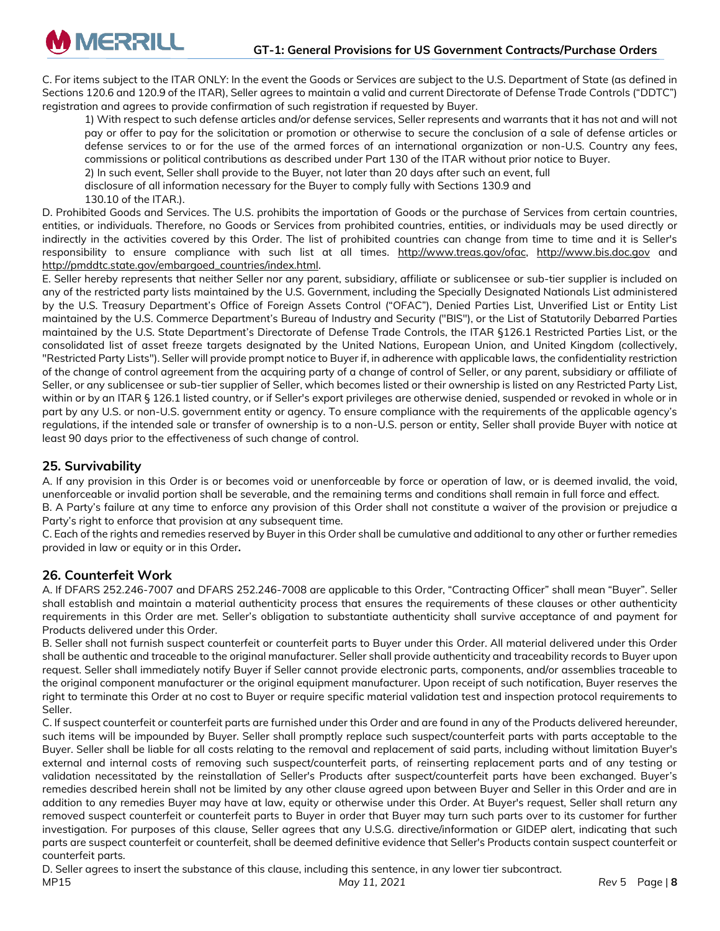C. For items subject to the ITAR ONLY: In the event the Goods or Services are subject to the U.S. Department of State (as defined in Sections 120.6 and 120.9 of the ITAR), Seller agrees to maintain a valid and current Directorate of Defense Trade Controls ("DDTC") registration and agrees to provide confirmation of such registration if requested by Buyer.

1) With respect to such defense articles and/or defense services, Seller represents and warrants that it has not and will not pay or offer to pay for the solicitation or promotion or otherwise to secure the conclusion of a sale of defense articles or defense services to or for the use of the armed forces of an international organization or non-U.S. Country any fees, commissions or political contributions as described under Part 130 of the ITAR without prior notice to Buyer. 2) In such event, Seller shall provide to the Buyer, not later than 20 days after such an event, full disclosure of all information necessary for the Buyer to comply fully with Sections 130.9 and

130.10 of the ITAR.).

D. Prohibited Goods and Services. The U.S. prohibits the importation of Goods or the purchase of Services from certain countries, entities, or individuals. Therefore, no Goods or Services from prohibited countries, entities, or individuals may be used directly or indirectly in the activities covered by this Order. The list of prohibited countries can change from time to time and it is Seller's responsibility to ensure compliance with such list at all times. [http://www.treas.gov/ofac,](http://www.treas.gov/ofac) [http://www.bis.doc.gov](http://www.bis.doc.gov/) and [http://pmddtc.state.gov/embargoed\\_countries/index.html.](http://pmddtc.state.gov/embargoed_countries/index.html)

E. Seller hereby represents that neither Seller nor any parent, subsidiary, affiliate or sublicensee or sub-tier supplier is included on any of the restricted party lists maintained by the U.S. Government, including the Specially Designated Nationals List administered by the U.S. Treasury Department's Office of Foreign Assets Control ("OFAC"), Denied Parties List, Unverified List or Entity List maintained by the U.S. Commerce Department's Bureau of Industry and Security ("BIS"), or the List of Statutorily Debarred Parties maintained by the U.S. State Department's Directorate of Defense Trade Controls, the ITAR §126.1 Restricted Parties List, or the consolidated list of asset freeze targets designated by the United Nations, European Union, and United Kingdom (collectively, "Restricted Party Lists"). Seller will provide prompt notice to Buyer if, in adherence with applicable laws, the confidentiality restriction of the change of control agreement from the acquiring party of a change of control of Seller, or any parent, subsidiary or affiliate of Seller, or any sublicensee or sub-tier supplier of Seller, which becomes listed or their ownership is listed on any Restricted Party List, within or by an ITAR § 126.1 listed country, or if Seller's export privileges are otherwise denied, suspended or revoked in whole or in part by any U.S. or non-U.S. government entity or agency. To ensure compliance with the requirements of the applicable agency's regulations, if the intended sale or transfer of ownership is to a non-U.S. person or entity, Seller shall provide Buyer with notice at least 90 days prior to the effectiveness of such change of control.

# **25. Survivability**

A. If any provision in this Order is or becomes void or unenforceable by force or operation of law, or is deemed invalid, the void, unenforceable or invalid portion shall be severable, and the remaining terms and conditions shall remain in full force and effect.

B. A Party's failure at any time to enforce any provision of this Order shall not constitute a waiver of the provision or prejudice a Party's right to enforce that provision at any subsequent time.

C. Each of the rights and remedies reserved by Buyer in this Order shall be cumulative and additional to any other or further remedies provided in law or equity or in this Order**.** 

# **26. Counterfeit Work**

A. If DFARS 252.246-7007 and DFARS 252.246-7008 are applicable to this Order, "Contracting Officer" shall mean "Buyer". Seller shall establish and maintain a material authenticity process that ensures the requirements of these clauses or other authenticity requirements in this Order are met. Seller's obligation to substantiate authenticity shall survive acceptance of and payment for Products delivered under this Order.

B. Seller shall not furnish suspect counterfeit or counterfeit parts to Buyer under this Order. All material delivered under this Order shall be authentic and traceable to the original manufacturer. Seller shall provide authenticity and traceability records to Buyer upon request. Seller shall immediately notify Buyer if Seller cannot provide electronic parts, components, and/or assemblies traceable to the original component manufacturer or the original equipment manufacturer. Upon receipt of such notification, Buyer reserves the right to terminate this Order at no cost to Buyer or require specific material validation test and inspection protocol requirements to Seller.

C. If suspect counterfeit or counterfeit parts are furnished under this Order and are found in any of the Products delivered hereunder, such items will be impounded by Buyer. Seller shall promptly replace such suspect/counterfeit parts with parts acceptable to the Buyer. Seller shall be liable for all costs relating to the removal and replacement of said parts, including without limitation Buyer's external and internal costs of removing such suspect/counterfeit parts, of reinserting replacement parts and of any testing or validation necessitated by the reinstallation of Seller's Products after suspect/counterfeit parts have been exchanged. Buyer's remedies described herein shall not be limited by any other clause agreed upon between Buyer and Seller in this Order and are in addition to any remedies Buyer may have at law, equity or otherwise under this Order. At Buyer's request, Seller shall return any removed suspect counterfeit or counterfeit parts to Buyer in order that Buyer may turn such parts over to its customer for further investigation. For purposes of this clause, Seller agrees that any U.S.G. directive/information or GIDEP alert, indicating that such parts are suspect counterfeit or counterfeit, shall be deemed definitive evidence that Seller's Products contain suspect counterfeit or counterfeit parts.

MP15 *May 11, 2021 Rev* 5 Page | **8** D. Seller agrees to insert the substance of this clause, including this sentence, in any lower tier subcontract.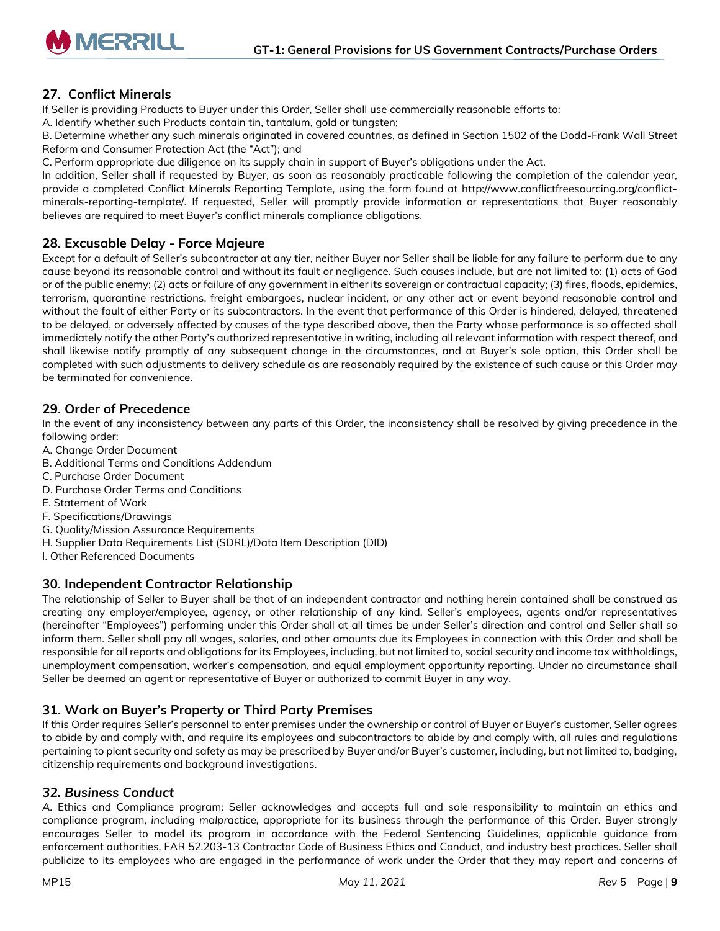

# **27. Conflict Minerals**

If Seller is providing Products to Buyer under this Order, Seller shall use commercially reasonable efforts to:

A. Identify whether such Products contain tin, tantalum, gold or tungsten;

B. Determine whether any such minerals originated in covered countries, as defined in Section 1502 of the Dodd-Frank Wall Street Reform and Consumer Protection Act (the "Act"); and

C. Perform appropriate due diligence on its supply chain in support of Buyer's obligations under the Act.

In addition, Seller shall if requested by Buyer, as soon as reasonably practicable following the completion of the calendar year, provide a completed Conflict Minerals Reporting Template, using the form found at [http://www.conflictfreesourcing.org/conflict](http://www.conflictfreesourcing.org/conflict-minerals-reporting-template/)[minerals-reporting-template/.](http://www.conflictfreesourcing.org/conflict-minerals-reporting-template/) If requested, Seller will promptly provide information or representations that Buyer reasonably believes are required to meet Buyer's conflict minerals compliance obligations.

# **28. Excusable Delay - Force Majeure**

Except for a default of Seller's subcontractor at any tier, neither Buyer nor Seller shall be liable for any failure to perform due to any cause beyond its reasonable control and without its fault or negligence. Such causes include, but are not limited to: (1) acts of God or of the public enemy; (2) acts or failure of any government in either its sovereign or contractual capacity; (3) fires, floods, epidemics, terrorism, quarantine restrictions, freight embargoes, nuclear incident, or any other act or event beyond reasonable control and without the fault of either Party or its subcontractors. In the event that performance of this Order is hindered, delayed, threatened to be delayed, or adversely affected by causes of the type described above, then the Party whose performance is so affected shall immediately notify the other Party's authorized representative in writing, including all relevant information with respect thereof, and shall likewise notify promptly of any subsequent change in the circumstances, and at Buyer's sole option, this Order shall be completed with such adjustments to delivery schedule as are reasonably required by the existence of such cause or this Order may be terminated for convenience.

### **29. Order of Precedence**

In the event of any inconsistency between any parts of this Order, the inconsistency shall be resolved by giving precedence in the following order:

- A. Change Order Document
- B. Additional Terms and Conditions Addendum
- C. Purchase Order Document
- D. Purchase Order Terms and Conditions
- E. Statement of Work
- F. Specifications/Drawings
- G. Quality/Mission Assurance Requirements
- H. Supplier Data Requirements List (SDRL)/Data Item Description (DID)
- I. Other Referenced Documents

### **30. Independent Contractor Relationship**

The relationship of Seller to Buyer shall be that of an independent contractor and nothing herein contained shall be construed as creating any employer/employee, agency, or other relationship of any kind. Seller's employees, agents and/or representatives (hereinafter "Employees") performing under this Order shall at all times be under Seller's direction and control and Seller shall so inform them. Seller shall pay all wages, salaries, and other amounts due its Employees in connection with this Order and shall be responsible for all reports and obligations for its Employees, including, but not limited to, social security and income tax withholdings, unemployment compensation, worker's compensation, and equal employment opportunity reporting. Under no circumstance shall Seller be deemed an agent or representative of Buyer or authorized to commit Buyer in any way.

### **31. Work on Buyer's Property or Third Party Premises**

If this Order requires Seller's personnel to enter premises under the ownership or control of Buyer or Buyer's customer, Seller agrees to abide by and comply with, and require its employees and subcontractors to abide by and comply with, all rules and regulations pertaining to plant security and safety as may be prescribed by Buyer and/or Buyer's customer, including, but not limited to, badging, citizenship requirements and background investigations.

### *32. Business Conduct*

*A.* Ethics and Compliance program: Seller acknowledges and accepts full and sole responsibility to maintain an ethics and compliance program*, including malpractice,* appropriate for its business through the performance of this Order. Buyer strongly encourages Seller to model its program in accordance with the Federal Sentencing Guidelines, applicable guidance from enforcement authorities, FAR 52.203-13 Contractor Code of Business Ethics and Conduct, and industry best practices. Seller shall publicize to its employees who are engaged in the performance of work under the Order that they may report and concerns of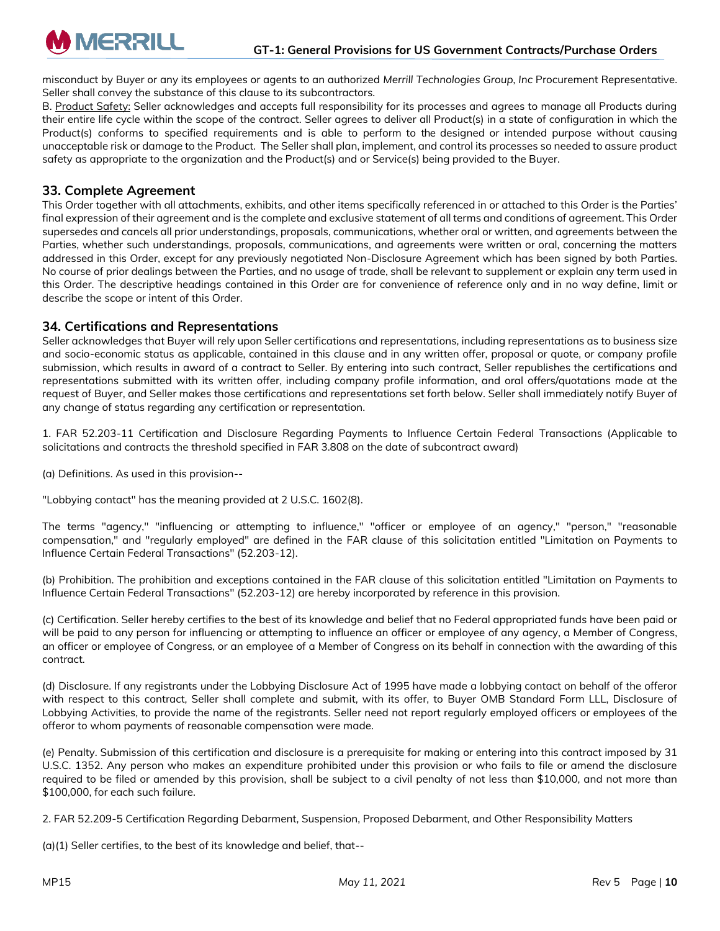misconduct by Buyer or any its employees or agents to an authorized *Merrill Technologies Group, Inc* Procurement Representative. Seller shall convey the substance of this clause to its subcontractors.

B. Product Safety: Seller acknowledges and accepts full responsibility for its processes and agrees to manage all Products during their entire life cycle within the scope of the contract. Seller agrees to deliver all Product(s) in a state of configuration in which the Product(s) conforms to specified requirements and is able to perform to the designed or intended purpose without causing unacceptable risk or damage to the Product. The Seller shall plan, implement, and control its processes so needed to assure product safety as appropriate to the organization and the Product(s) and or Service(s) being provided to the Buyer.

## **33. Complete Agreement**

This Order together with all attachments, exhibits, and other items specifically referenced in or attached to this Order is the Parties' final expression of their agreement and is the complete and exclusive statement of all terms and conditions of agreement. This Order supersedes and cancels all prior understandings, proposals, communications, whether oral or written, and agreements between the Parties, whether such understandings, proposals, communications, and agreements were written or oral, concerning the matters addressed in this Order, except for any previously negotiated Non-Disclosure Agreement which has been signed by both Parties. No course of prior dealings between the Parties, and no usage of trade, shall be relevant to supplement or explain any term used in this Order. The descriptive headings contained in this Order are for convenience of reference only and in no way define, limit or describe the scope or intent of this Order.

# **34. Certifications and Representations**

Seller acknowledges that Buyer will rely upon Seller certifications and representations, including representations as to business size and socio-economic status as applicable, contained in this clause and in any written offer, proposal or quote, or company profile submission, which results in award of a contract to Seller. By entering into such contract, Seller republishes the certifications and representations submitted with its written offer, including company profile information, and oral offers/quotations made at the request of Buyer, and Seller makes those certifications and representations set forth below. Seller shall immediately notify Buyer of any change of status regarding any certification or representation.

1. FAR 52.203-11 Certification and Disclosure Regarding Payments to Influence Certain Federal Transactions (Applicable to solicitations and contracts the threshold specified in FAR 3.808 on the date of subcontract award)

(a) Definitions. As used in this provision--

"Lobbying contact" has the meaning provided at 2 U.S.C. 1602(8).

The terms "agency," "influencing or attempting to influence," "officer or employee of an agency," "person," "reasonable compensation," and "regularly employed" are defined in the FAR clause of this solicitation entitled "Limitation on Payments to Influence Certain Federal Transactions" (52.203-12).

(b) Prohibition. The prohibition and exceptions contained in the FAR clause of this solicitation entitled "Limitation on Payments to Influence Certain Federal Transactions" (52.203-12) are hereby incorporated by reference in this provision.

(c) Certification. Seller hereby certifies to the best of its knowledge and belief that no Federal appropriated funds have been paid or will be paid to any person for influencing or attempting to influence an officer or employee of any agency, a Member of Congress, an officer or employee of Congress, or an employee of a Member of Congress on its behalf in connection with the awarding of this contract.

(d) Disclosure. If any registrants under the Lobbying Disclosure Act of 1995 have made a lobbying contact on behalf of the offeror with respect to this contract, Seller shall complete and submit, with its offer, to Buyer OMB Standard Form LLL, Disclosure of Lobbying Activities, to provide the name of the registrants. Seller need not report regularly employed officers or employees of the offeror to whom payments of reasonable compensation were made.

(e) Penalty. Submission of this certification and disclosure is a prerequisite for making or entering into this contract imposed by 31 U.S.C. 1352. Any person who makes an expenditure prohibited under this provision or who fails to file or amend the disclosure required to be filed or amended by this provision, shall be subject to a civil penalty of not less than \$10,000, and not more than \$100,000, for each such failure.

2. FAR 52.209-5 Certification Regarding Debarment, Suspension, Proposed Debarment, and Other Responsibility Matters

(a)(1) Seller certifies, to the best of its knowledge and belief, that--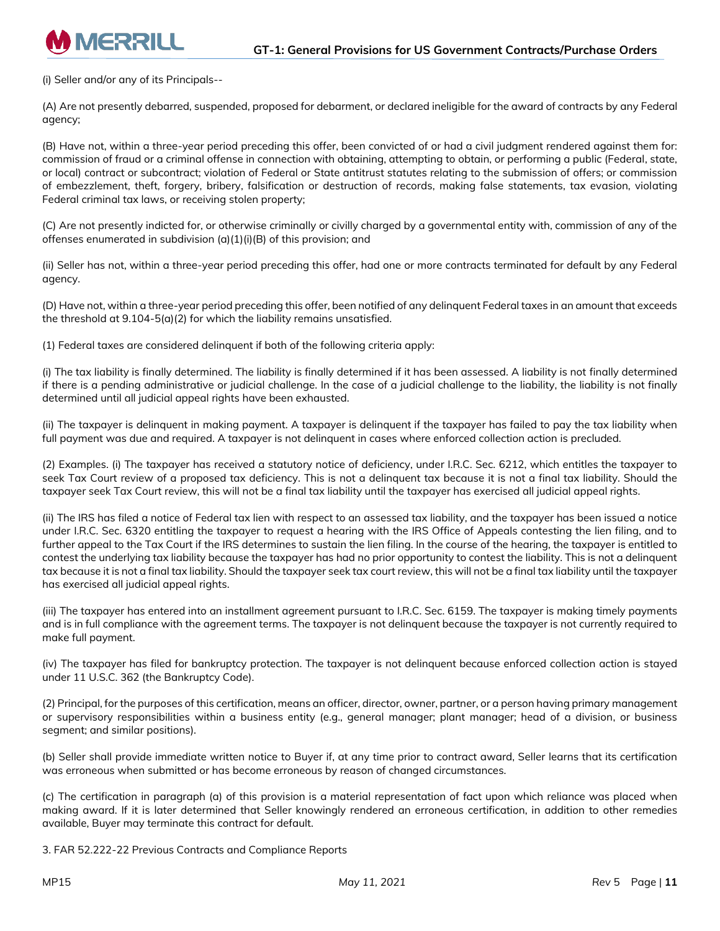

(i) Seller and/or any of its Principals--

(A) Are not presently debarred, suspended, proposed for debarment, or declared ineligible for the award of contracts by any Federal agency;

(B) Have not, within a three-year period preceding this offer, been convicted of or had a civil judgment rendered against them for: commission of fraud or a criminal offense in connection with obtaining, attempting to obtain, or performing a public (Federal, state, or local) contract or subcontract; violation of Federal or State antitrust statutes relating to the submission of offers; or commission of embezzlement, theft, forgery, bribery, falsification or destruction of records, making false statements, tax evasion, violating Federal criminal tax laws, or receiving stolen property;

(C) Are not presently indicted for, or otherwise criminally or civilly charged by a governmental entity with, commission of any of the offenses enumerated in subdivision (a)(1)(i)(B) of this provision; and

(ii) Seller has not, within a three-year period preceding this offer, had one or more contracts terminated for default by any Federal agency.

(D) Have not, within a three-year period preceding this offer, been notified of any delinquent Federal taxes in an amount that exceeds the threshold at 9.104-5(a)(2) for which the liability remains unsatisfied.

(1) Federal taxes are considered delinquent if both of the following criteria apply:

(i) The tax liability is finally determined. The liability is finally determined if it has been assessed. A liability is not finally determined if there is a pending administrative or judicial challenge. In the case of a judicial challenge to the liability, the liability is not finally determined until all judicial appeal rights have been exhausted.

(ii) The taxpayer is delinquent in making payment. A taxpayer is delinquent if the taxpayer has failed to pay the tax liability when full payment was due and required. A taxpayer is not delinquent in cases where enforced collection action is precluded.

(2) Examples. (i) The taxpayer has received a statutory notice of deficiency, under I.R.C. Sec. 6212, which entitles the taxpayer to seek Tax Court review of a proposed tax deficiency. This is not a delinquent tax because it is not a final tax liability. Should the taxpayer seek Tax Court review, this will not be a final tax liability until the taxpayer has exercised all judicial appeal rights.

(ii) The IRS has filed a notice of Federal tax lien with respect to an assessed tax liability, and the taxpayer has been issued a notice under I.R.C. Sec. 6320 entitling the taxpayer to request a hearing with the IRS Office of Appeals contesting the lien filing, and to further appeal to the Tax Court if the IRS determines to sustain the lien filing. In the course of the hearing, the taxpayer is entitled to contest the underlying tax liability because the taxpayer has had no prior opportunity to contest the liability. This is not a delinquent tax because it is not a final tax liability. Should the taxpayer seek tax court review, this will not be a final tax liability until the taxpayer has exercised all judicial appeal rights.

(iii) The taxpayer has entered into an installment agreement pursuant to I.R.C. Sec. 6159. The taxpayer is making timely payments and is in full compliance with the agreement terms. The taxpayer is not delinquent because the taxpayer is not currently required to make full payment.

(iv) The taxpayer has filed for bankruptcy protection. The taxpayer is not delinquent because enforced collection action is stayed under 11 U.S.C. 362 (the Bankruptcy Code).

(2) Principal, for the purposes of this certification, means an officer, director, owner, partner, or a person having primary management or supervisory responsibilities within a business entity (e.g., general manager; plant manager; head of a division, or business segment; and similar positions).

(b) Seller shall provide immediate written notice to Buyer if, at any time prior to contract award, Seller learns that its certification was erroneous when submitted or has become erroneous by reason of changed circumstances.

(c) The certification in paragraph (a) of this provision is a material representation of fact upon which reliance was placed when making award. If it is later determined that Seller knowingly rendered an erroneous certification, in addition to other remedies available, Buyer may terminate this contract for default.

3. FAR 52.222-22 Previous Contracts and Compliance Reports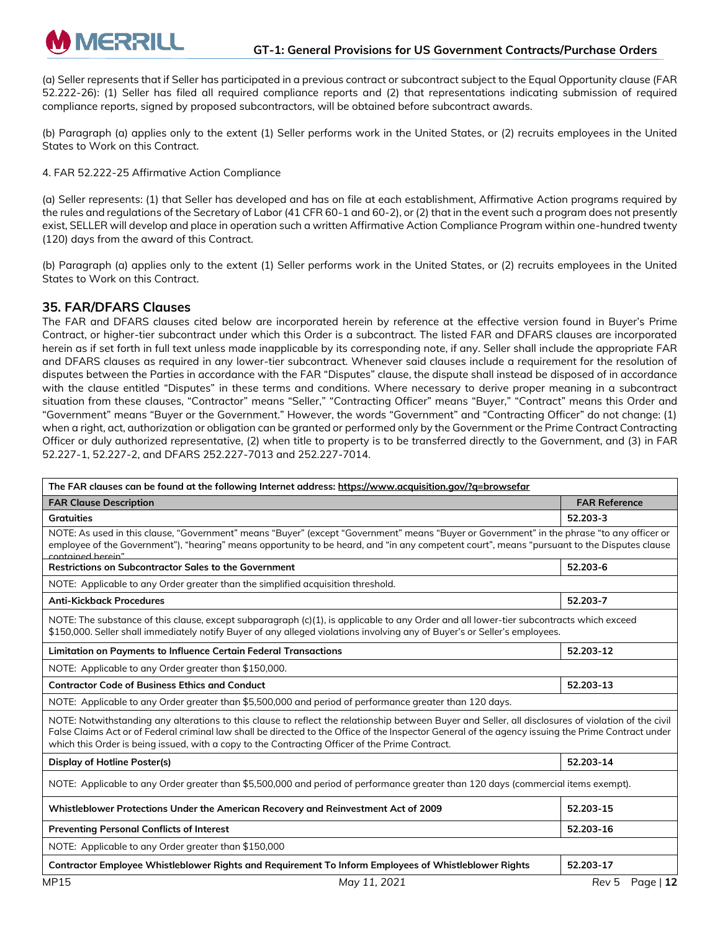(a) Seller represents that if Seller has participated in a previous contract or subcontract subject to the Equal Opportunity clause (FAR 52.222-26): (1) Seller has filed all required compliance reports and (2) that representations indicating submission of required compliance reports, signed by proposed subcontractors, will be obtained before subcontract awards.

(b) Paragraph (a) applies only to the extent (1) Seller performs work in the United States, or (2) recruits employees in the United States to Work on this Contract.

#### 4. FAR 52.222-25 Affirmative Action Compliance

(a) Seller represents: (1) that Seller has developed and has on file at each establishment, Affirmative Action programs required by the rules and regulations of the Secretary of Labor (41 CFR 60-1 and 60-2), or (2) that in the event such a program does not presently exist, SELLER will develop and place in operation such a written Affirmative Action Compliance Program within one-hundred twenty (120) days from the award of this Contract.

(b) Paragraph (a) applies only to the extent (1) Seller performs work in the United States, or (2) recruits employees in the United States to Work on this Contract.

### **35. FAR/DFARS Clauses**

The FAR and DFARS clauses cited below are incorporated herein by reference at the effective version found in Buyer's Prime Contract, or higher-tier subcontract under which this Order is a subcontract. The listed FAR and DFARS clauses are incorporated herein as if set forth in full text unless made inapplicable by its corresponding note, if any. Seller shall include the appropriate FAR and DFARS clauses as required in any lower-tier subcontract. Whenever said clauses include a requirement for the resolution of disputes between the Parties in accordance with the FAR "Disputes" clause, the dispute shall instead be disposed of in accordance with the clause entitled "Disputes" in these terms and conditions. Where necessary to derive proper meaning in a subcontract situation from these clauses, "Contractor" means "Seller," "Contracting Officer" means "Buyer," "Contract" means this Order and "Government" means "Buyer or the Government." However, the words "Government" and "Contracting Officer" do not change: (1) when a right, act, authorization or obligation can be granted or performed only by the Government or the Prime Contract Contracting Officer or duly authorized representative, (2) when title to property is to be transferred directly to the Government, and (3) in FAR 52.227-1, 52.227-2, and DFARS 252.227-7013 and 252.227-7014.

| The FAR clauses can be found at the following Internet address: https://www.acquisition.gov/?g=browsefar                                                                                                                                                                                                                                                                                                       |                                |
|----------------------------------------------------------------------------------------------------------------------------------------------------------------------------------------------------------------------------------------------------------------------------------------------------------------------------------------------------------------------------------------------------------------|--------------------------------|
| <b>FAR Clause Description</b>                                                                                                                                                                                                                                                                                                                                                                                  | <b>FAR Reference</b>           |
| <b>Gratuities</b>                                                                                                                                                                                                                                                                                                                                                                                              | 52.203-3                       |
| NOTE: As used in this clause, "Government" means "Buyer" (except "Government" means "Buyer or Government" in the phrase "to any officer or<br>employee of the Government"), "hearing" means opportunity to be heard, and "in any competent court", means "pursuant to the Disputes clause<br>contained herein"                                                                                                 |                                |
| Restrictions on Subcontractor Sales to the Government                                                                                                                                                                                                                                                                                                                                                          | 52.203-6                       |
| NOTE: Applicable to any Order greater than the simplified acquisition threshold.                                                                                                                                                                                                                                                                                                                               |                                |
| <b>Anti-Kickback Procedures</b>                                                                                                                                                                                                                                                                                                                                                                                | 52.203-7                       |
| NOTE: The substance of this clause, except subparagraph (c)(1), is applicable to any Order and all lower-tier subcontracts which exceed<br>\$150,000. Seller shall immediately notify Buyer of any alleged violations involving any of Buyer's or Seller's employees.                                                                                                                                          |                                |
| Limitation on Payments to Influence Certain Federal Transactions                                                                                                                                                                                                                                                                                                                                               | 52.203-12                      |
| NOTE: Applicable to any Order greater than \$150,000.                                                                                                                                                                                                                                                                                                                                                          |                                |
| <b>Contractor Code of Business Ethics and Conduct</b>                                                                                                                                                                                                                                                                                                                                                          | 52.203-13                      |
| NOTE: Applicable to any Order greater than \$5,500,000 and period of performance greater than 120 days.                                                                                                                                                                                                                                                                                                        |                                |
| NOTE: Notwithstanding any alterations to this clause to reflect the relationship between Buyer and Seller, all disclosures of violation of the civil<br>False Claims Act or of Federal criminal law shall be directed to the Office of the Inspector General of the agency issuing the Prime Contract under<br>which this Order is being issued, with a copy to the Contracting Officer of the Prime Contract. |                                |
| <b>Display of Hotline Poster(s)</b>                                                                                                                                                                                                                                                                                                                                                                            | 52.203-14                      |
| NOTE: Applicable to any Order greater than \$5,500,000 and period of performance greater than 120 days (commercial items exempt).                                                                                                                                                                                                                                                                              |                                |
| Whistleblower Protections Under the American Recovery and Reinvestment Act of 2009                                                                                                                                                                                                                                                                                                                             | 52.203-15                      |
| <b>Preventing Personal Conflicts of Interest</b>                                                                                                                                                                                                                                                                                                                                                               | 52.203-16                      |
| NOTE: Applicable to any Order greater than \$150,000                                                                                                                                                                                                                                                                                                                                                           |                                |
| Contractor Employee Whistleblower Rights and Requirement To Inform Employees of Whistleblower Rights                                                                                                                                                                                                                                                                                                           | 52.203-17                      |
| <b>MP15</b><br>May 11, 2021                                                                                                                                                                                                                                                                                                                                                                                    | Page $ 12$<br>Rev <sub>5</sub> |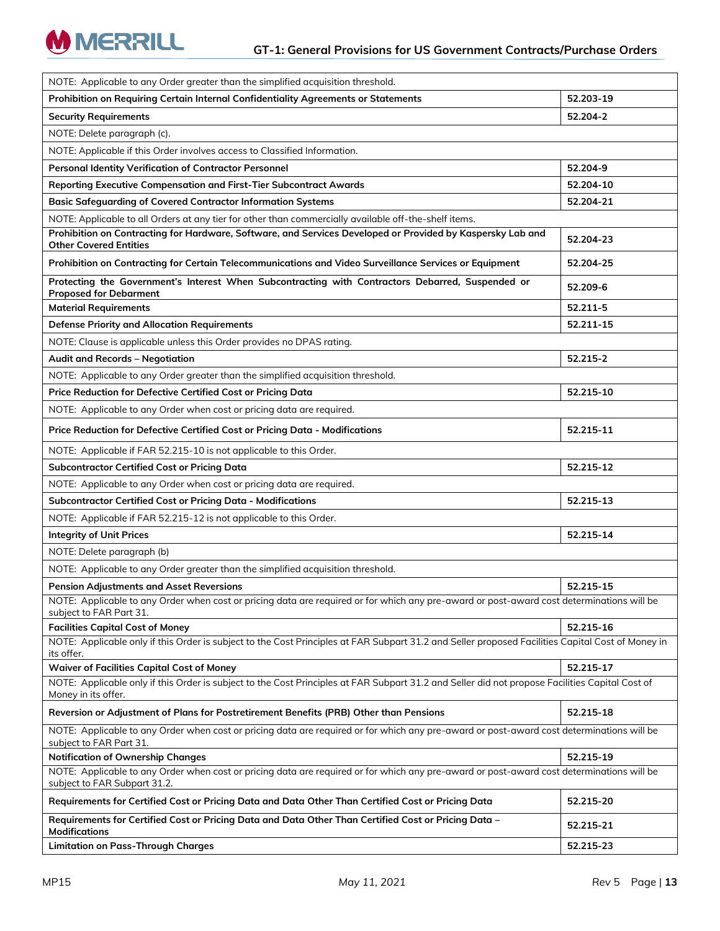

| NOTE: Applicable to any Order greater than the simplified acquisition threshold.                                                                                          |           |
|---------------------------------------------------------------------------------------------------------------------------------------------------------------------------|-----------|
| Prohibition on Requiring Certain Internal Confidentiality Agreements or Statements                                                                                        | 52.203-19 |
| <b>Security Requirements</b>                                                                                                                                              | 52.204-2  |
| NOTE: Delete paragraph (c).                                                                                                                                               |           |
| NOTE: Applicable if this Order involves access to Classified Information.                                                                                                 |           |
| <b>Personal Identity Verification of Contractor Personnel</b>                                                                                                             | 52.204-9  |
| Reporting Executive Compensation and First-Tier Subcontract Awards                                                                                                        | 52.204-10 |
| <b>Basic Safeguarding of Covered Contractor Information Systems</b>                                                                                                       | 52.204-21 |
| NOTE: Applicable to all Orders at any tier for other than commercially available off-the-shelf items.                                                                     |           |
| Prohibition on Contracting for Hardware, Software, and Services Developed or Provided by Kaspersky Lab and<br><b>Other Covered Entities</b>                               | 52.204-23 |
| Prohibition on Contracting for Certain Telecommunications and Video Surveillance Services or Equipment                                                                    | 52.204-25 |
| Protecting the Government's Interest When Subcontracting with Contractors Debarred, Suspended or<br><b>Proposed for Debarment</b>                                         | 52.209-6  |
| <b>Material Requirements</b>                                                                                                                                              | 52.211-5  |
| <b>Defense Priority and Allocation Requirements</b>                                                                                                                       | 52.211-15 |
| NOTE: Clause is applicable unless this Order provides no DPAS rating.                                                                                                     |           |
| Audit and Records - Negotiation                                                                                                                                           | 52.215-2  |
| NOTE: Applicable to any Order greater than the simplified acquisition threshold.                                                                                          |           |
| Price Reduction for Defective Certified Cost or Pricing Data                                                                                                              | 52.215-10 |
| NOTE: Applicable to any Order when cost or pricing data are required.                                                                                                     |           |
| Price Reduction for Defective Certified Cost or Pricing Data - Modifications                                                                                              | 52.215-11 |
| NOTE: Applicable if FAR 52.215-10 is not applicable to this Order.                                                                                                        |           |
| <b>Subcontractor Certified Cost or Pricing Data</b>                                                                                                                       | 52.215-12 |
| NOTE: Applicable to any Order when cost or pricing data are required.                                                                                                     |           |
| <b>Subcontractor Certified Cost or Pricing Data - Modifications</b>                                                                                                       | 52.215-13 |
| NOTE: Applicable if FAR 52.215-12 is not applicable to this Order.                                                                                                        |           |
| <b>Integrity of Unit Prices</b>                                                                                                                                           | 52.215-14 |
| NOTE: Delete paragraph (b)                                                                                                                                                |           |
| NOTE: Applicable to any Order greater than the simplified acquisition threshold.                                                                                          |           |
| <b>Pension Adjustments and Asset Reversions</b>                                                                                                                           | 52.215-15 |
| NOTE: Applicable to any Order when cost or pricing data are required or for which any pre-award or post-award cost determinations will be<br>subject to FAR Part 31.      |           |
| <b>Facilities Capital Cost of Money</b>                                                                                                                                   | 52.215-16 |
| NOTE: Applicable only if this Order is subject to the Cost Principles at FAR Subpart 31.2 and Seller proposed Facilities Capital Cost of Money in<br>its offer.           |           |
| <b>Waiver of Facilities Capital Cost of Money</b>                                                                                                                         | 52.215-17 |
| NOTE: Applicable only if this Order is subject to the Cost Principles at FAR Subpart 31.2 and Seller did not propose Facilities Capital Cost of<br>Money in its offer.    |           |
| Reversion or Adjustment of Plans for Postretirement Benefits (PRB) Other than Pensions                                                                                    | 52.215-18 |
| NOTE: Applicable to any Order when cost or pricing data are required or for which any pre-award or post-award cost determinations will be<br>subject to FAR Part 31.      |           |
| <b>Notification of Ownership Changes</b>                                                                                                                                  | 52.215-19 |
| NOTE: Applicable to any Order when cost or pricing data are required or for which any pre-award or post-award cost determinations will be<br>subject to FAR Subpart 31.2. |           |
| Requirements for Certified Cost or Pricing Data and Data Other Than Certified Cost or Pricing Data                                                                        | 52.215-20 |
| Requirements for Certified Cost or Pricing Data and Data Other Than Certified Cost or Pricing Data -<br><b>Modifications</b>                                              | 52.215-21 |
| <b>Limitation on Pass-Through Charges</b>                                                                                                                                 | 52.215-23 |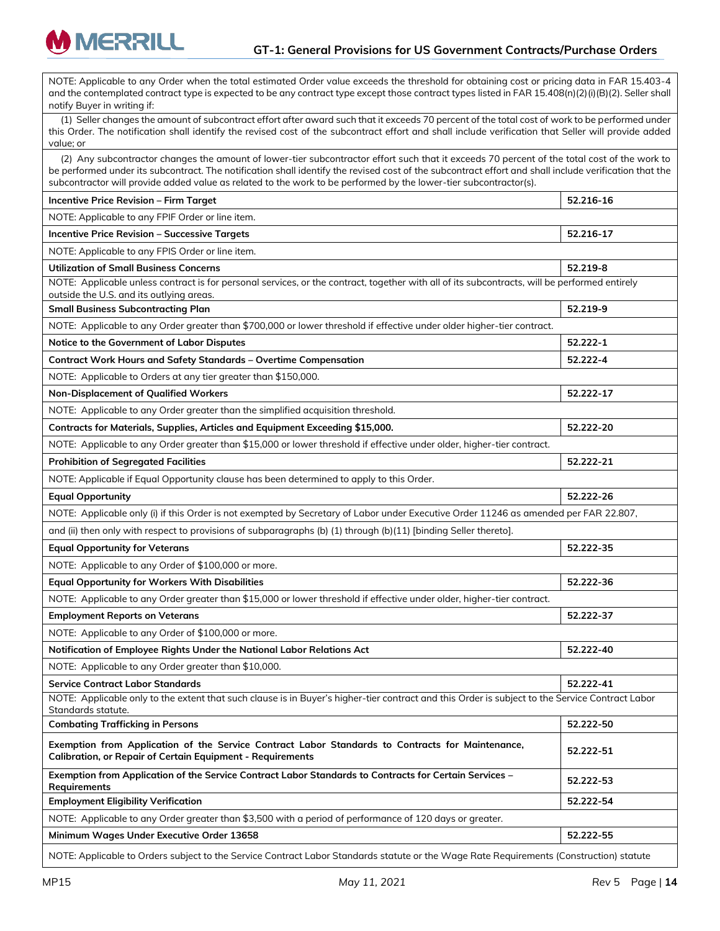**MERRILL** 

NOTE: Applicable to any Order when the total estimated Order value exceeds the threshold for obtaining cost or pricing data in FAR 15.403-4 and the contemplated contract type is expected to be any contract type except those contract types listed in FAR 15.408(n)(2)(i)(B)(2). Seller shall notify Buyer in writing if: (1) Seller changes the amount of subcontract effort after award such that it exceeds 70 percent of the total cost of work to be performed under this Order. The notification shall identify the revised cost of the subcontract effort and shall include verification that Seller will provide added value; or (2) Any subcontractor changes the amount of lower-tier subcontractor effort such that it exceeds 70 percent of the total cost of the work to be performed under its subcontract. The notification shall identify the revised cost of the subcontract effort and shall include verification that the subcontractor will provide added value as related to the work to be performed by the lower-tier subcontractor(s). **Incentive Price Revision – Firm Target 52.216-16** NOTE: Applicable to any FPIF Order or line item. **Incentive Price Revision – Successive Targets 52.216-17** NOTE: Applicable to any FPIS Order or line item. **Utilization of Small Business Concerns 52.219-8** NOTE: Applicable unless contract is for personal services, or the contract, together with all of its subcontracts, will be performed entirely outside the U.S. and its outlying areas. **Small Business Subcontracting Plan 52.219-9** NOTE: Applicable to any Order greater than \$700,000 or lower threshold if effective under older higher-tier contract. **Notice to the Government of Labor Disputes 52.222-1 Contract Work Hours and Safety Standards – Overtime Compensation 52.222-4** NOTE: Applicable to Orders at any tier greater than \$150,000. **Non-Displacement of Qualified Workers 52.222-17** NOTE: Applicable to any Order greater than the simplified acquisition threshold. **Contracts for Materials, Supplies, Articles and Equipment Exceeding \$15,000. 52.222-20** NOTE: Applicable to any Order greater than \$15,000 or lower threshold if effective under older, higher-tier contract. **Prohibition of Segregated Facilities 52.222-21** NOTE: Applicable if Equal Opportunity clause has been determined to apply to this Order. **Equal Opportunity 52.222-26** NOTE: Applicable only (i) if this Order is not exempted by Secretary of Labor under Executive Order 11246 as amended per FAR 22.807, and (ii) then only with respect to provisions of subparagraphs (b) (1) through (b)(11) [binding Seller thereto]. **Equal Opportunity for Veterans 52.222-35** NOTE: Applicable to any Order of \$100,000 or more. **Equal Opportunity for Workers With Disabilities 52.222-36** NOTE: Applicable to any Order greater than \$15,000 or lower threshold if effective under older, higher-tier contract. **Employment Reports on Veterans 52.222-37** NOTE: Applicable to any Order of \$100,000 or more. **Notification of Employee Rights Under the National Labor Relations Act 52.222-40** NOTE: Applicable to any Order greater than \$10,000. **Service Contract Labor Standards 52.222-41** NOTE: Applicable only to the extent that such clause is in Buyer's higher-tier contract and this Order is subject to the Service Contract Labor Standards statute. **Combating Trafficking in Persons 52.222-50 Exemption from Application of the Service Contract Labor Standards to Contracts for Maintenance, Calibration, or Repair of Certain Equipment - Requirements 52.222-51 Exemption from Application of the Service Contract Labor Standards to Contracts for Certain Services – Requirements 52.222-53 Employment Eligibility Verification 52.222-54** NOTE: Applicable to any Order greater than \$3,500 with a period of performance of 120 days or greater. **Minimum Wages Under Executive Order 13658 52.222-55**

NOTE: Applicable to Orders subject to the Service Contract Labor Standards statute or the Wage Rate Requirements (Construction) statute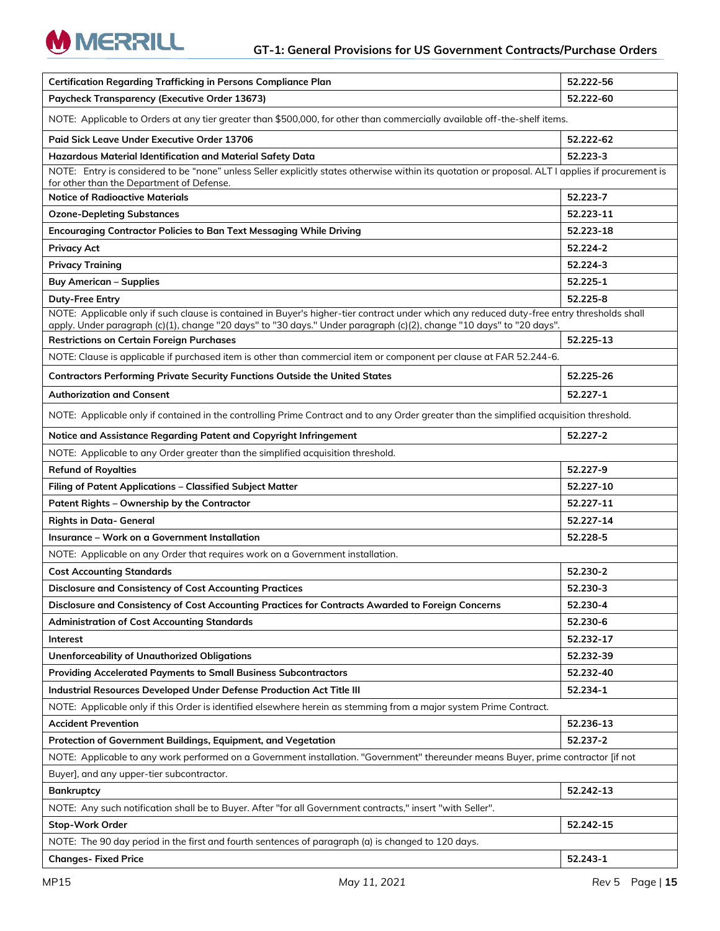

# **GT-1: General Provisions for US Government Contracts/Purchase Orders**

| <b>Certification Regarding Trafficking in Persons Compliance Plan</b>                                                                                                                                                                                              | 52.222-56 |
|--------------------------------------------------------------------------------------------------------------------------------------------------------------------------------------------------------------------------------------------------------------------|-----------|
| Paycheck Transparency (Executive Order 13673)                                                                                                                                                                                                                      | 52.222-60 |
| NOTE: Applicable to Orders at any tier greater than \$500,000, for other than commercially available off-the-shelf items.                                                                                                                                          |           |
| Paid Sick Leave Under Executive Order 13706                                                                                                                                                                                                                        | 52.222-62 |
| Hazardous Material Identification and Material Safety Data                                                                                                                                                                                                         | 52.223-3  |
| NOTE: Entry is considered to be "none" unless Seller explicitly states otherwise within its quotation or proposal. ALT I applies if procurement is<br>for other than the Department of Defense.                                                                    |           |
| <b>Notice of Radioactive Materials</b>                                                                                                                                                                                                                             | 52.223-7  |
| <b>Ozone-Depleting Substances</b>                                                                                                                                                                                                                                  | 52.223-11 |
| <b>Encouraging Contractor Policies to Ban Text Messaging While Driving</b>                                                                                                                                                                                         | 52.223-18 |
| <b>Privacy Act</b>                                                                                                                                                                                                                                                 | 52.224-2  |
| <b>Privacy Training</b>                                                                                                                                                                                                                                            | 52.224-3  |
| <b>Buy American - Supplies</b>                                                                                                                                                                                                                                     | 52.225-1  |
| <b>Duty-Free Entry</b>                                                                                                                                                                                                                                             | 52.225-8  |
| NOTE: Applicable only if such clause is contained in Buyer's higher-tier contract under which any reduced duty-free entry thresholds shall<br>apply. Under paragraph (c)(1), change "20 days" to "30 days." Under paragraph (c)(2), change "10 days" to "20 days". |           |
| <b>Restrictions on Certain Foreign Purchases</b>                                                                                                                                                                                                                   | 52.225-13 |
| NOTE: Clause is applicable if purchased item is other than commercial item or component per clause at FAR 52.244-6.                                                                                                                                                |           |
| <b>Contractors Performing Private Security Functions Outside the United States</b>                                                                                                                                                                                 | 52.225-26 |
| <b>Authorization and Consent</b>                                                                                                                                                                                                                                   | 52.227-1  |
| NOTE: Applicable only if contained in the controlling Prime Contract and to any Order greater than the simplified acquisition threshold.                                                                                                                           |           |
| Notice and Assistance Regarding Patent and Copyright Infringement                                                                                                                                                                                                  | 52.227-2  |
| NOTE: Applicable to any Order greater than the simplified acquisition threshold.                                                                                                                                                                                   |           |
| <b>Refund of Royalties</b>                                                                                                                                                                                                                                         | 52.227-9  |
| Filing of Patent Applications - Classified Subject Matter                                                                                                                                                                                                          | 52.227-10 |
| Patent Rights - Ownership by the Contractor                                                                                                                                                                                                                        | 52.227-11 |
| <b>Rights in Data- General</b>                                                                                                                                                                                                                                     | 52.227-14 |
| Insurance - Work on a Government Installation                                                                                                                                                                                                                      | 52.228-5  |
| NOTE: Applicable on any Order that requires work on a Government installation.                                                                                                                                                                                     |           |
| <b>Cost Accounting Standards</b>                                                                                                                                                                                                                                   | 52.230-2  |
| <b>Disclosure and Consistency of Cost Accounting Practices</b>                                                                                                                                                                                                     | 52.230-3  |
| Disclosure and Consistency of Cost Accounting Practices for Contracts Awarded to Foreign Concerns                                                                                                                                                                  | 52.230-4  |
| <b>Administration of Cost Accounting Standards</b>                                                                                                                                                                                                                 | 52.230-6  |
| Interest                                                                                                                                                                                                                                                           | 52.232-17 |
| <b>Unenforceability of Unauthorized Obligations</b>                                                                                                                                                                                                                | 52.232-39 |
| <b>Providing Accelerated Payments to Small Business Subcontractors</b>                                                                                                                                                                                             | 52.232-40 |
| Industrial Resources Developed Under Defense Production Act Title III                                                                                                                                                                                              | 52.234-1  |
| NOTE: Applicable only if this Order is identified elsewhere herein as stemming from a major system Prime Contract.                                                                                                                                                 |           |
| <b>Accident Prevention</b>                                                                                                                                                                                                                                         | 52.236-13 |
| Protection of Government Buildings, Equipment, and Vegetation                                                                                                                                                                                                      | 52.237-2  |
| NOTE: Applicable to any work performed on a Government installation. "Government" thereunder means Buyer, prime contractor [if not                                                                                                                                 |           |
| Buyer], and any upper-tier subcontractor.                                                                                                                                                                                                                          |           |
| <b>Bankruptcy</b>                                                                                                                                                                                                                                                  | 52.242-13 |
| NOTE: Any such notification shall be to Buyer. After "for all Government contracts," insert "with Seller".                                                                                                                                                         |           |
| Stop-Work Order                                                                                                                                                                                                                                                    | 52.242-15 |
| NOTE: The 90 day period in the first and fourth sentences of paragraph (a) is changed to 120 days.                                                                                                                                                                 |           |
| <b>Changes-Fixed Price</b>                                                                                                                                                                                                                                         | 52.243-1  |
|                                                                                                                                                                                                                                                                    |           |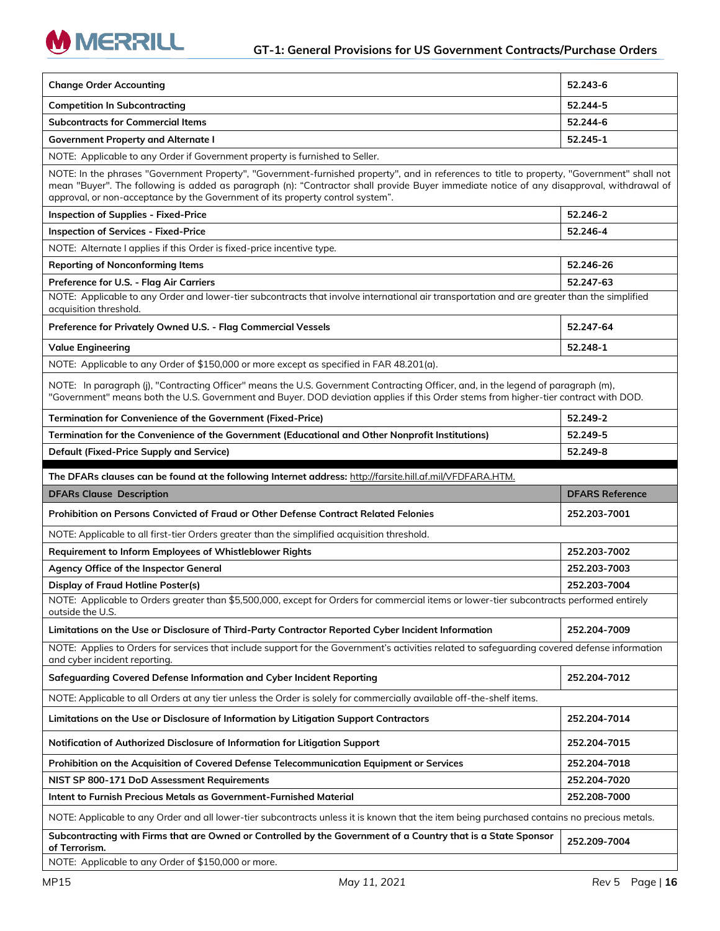

| <b>Change Order Accounting</b>                                                                                                                                                                                                                                                                                                                                             | 52.243-6               |  |
|----------------------------------------------------------------------------------------------------------------------------------------------------------------------------------------------------------------------------------------------------------------------------------------------------------------------------------------------------------------------------|------------------------|--|
| <b>Competition In Subcontracting</b>                                                                                                                                                                                                                                                                                                                                       | 52.244-5               |  |
| <b>Subcontracts for Commercial Items</b>                                                                                                                                                                                                                                                                                                                                   | 52.244-6               |  |
| <b>Government Property and Alternate I</b>                                                                                                                                                                                                                                                                                                                                 | 52.245-1               |  |
| NOTE: Applicable to any Order if Government property is furnished to Seller.                                                                                                                                                                                                                                                                                               |                        |  |
| NOTE: In the phrases "Government Property", "Government-furnished property", and in references to title to property, "Government" shall not<br>mean "Buyer". The following is added as paragraph (n): "Contractor shall provide Buyer immediate notice of any disapproval, withdrawal of<br>approval, or non-acceptance by the Government of its property control system". |                        |  |
| <b>Inspection of Supplies - Fixed-Price</b>                                                                                                                                                                                                                                                                                                                                | 52.246-2               |  |
| <b>Inspection of Services - Fixed-Price</b>                                                                                                                                                                                                                                                                                                                                | 52.246-4               |  |
| NOTE: Alternate I applies if this Order is fixed-price incentive type.                                                                                                                                                                                                                                                                                                     |                        |  |
| <b>Reporting of Nonconforming Items</b>                                                                                                                                                                                                                                                                                                                                    | 52.246-26              |  |
| Preference for U.S. - Flag Air Carriers                                                                                                                                                                                                                                                                                                                                    | 52.247-63              |  |
| NOTE: Applicable to any Order and lower-tier subcontracts that involve international air transportation and are greater than the simplified<br>acquisition threshold.                                                                                                                                                                                                      |                        |  |
| Preference for Privately Owned U.S. - Flag Commercial Vessels                                                                                                                                                                                                                                                                                                              | 52.247-64              |  |
| <b>Value Engineering</b>                                                                                                                                                                                                                                                                                                                                                   | 52.248-1               |  |
| NOTE: Applicable to any Order of \$150,000 or more except as specified in FAR 48.201(a).                                                                                                                                                                                                                                                                                   |                        |  |
| NOTE: In paragraph (j), "Contracting Officer" means the U.S. Government Contracting Officer, and, in the legend of paragraph (m),<br>"Government" means both the U.S. Government and Buyer. DOD deviation applies if this Order stems from higher-tier contract with DOD.                                                                                                  |                        |  |
| Termination for Convenience of the Government (Fixed-Price)                                                                                                                                                                                                                                                                                                                | 52.249-2               |  |
| Termination for the Convenience of the Government (Educational and Other Nonprofit Institutions)                                                                                                                                                                                                                                                                           | 52.249-5               |  |
| <b>Default (Fixed-Price Supply and Service)</b>                                                                                                                                                                                                                                                                                                                            | 52.249-8               |  |
|                                                                                                                                                                                                                                                                                                                                                                            |                        |  |
|                                                                                                                                                                                                                                                                                                                                                                            |                        |  |
| The DFARs clauses can be found at the following Internet address: http://farsite.hill.af.mil/VFDFARA.HTM.<br><b>DFARs Clause Description</b>                                                                                                                                                                                                                               | <b>DFARS Reference</b> |  |
| Prohibition on Persons Convicted of Fraud or Other Defense Contract Related Felonies                                                                                                                                                                                                                                                                                       | 252.203-7001           |  |
| NOTE: Applicable to all first-tier Orders greater than the simplified acquisition threshold.                                                                                                                                                                                                                                                                               |                        |  |
| Requirement to Inform Employees of Whistleblower Rights                                                                                                                                                                                                                                                                                                                    | 252.203-7002           |  |
| Agency Office of the Inspector General                                                                                                                                                                                                                                                                                                                                     | 252.203-7003           |  |
| <b>Display of Fraud Hotline Poster(s)</b>                                                                                                                                                                                                                                                                                                                                  | 252.203-7004           |  |
| NOTE: Applicable to Orders greater than \$5,500,000, except for Orders for commercial items or lower-tier subcontracts performed entirely<br>outside the U.S.                                                                                                                                                                                                              |                        |  |
| Limitations on the Use or Disclosure of Third-Party Contractor Reported Cyber Incident Information                                                                                                                                                                                                                                                                         | 252.204-7009           |  |
| NOTE: Applies to Orders for services that include support for the Government's activities related to safeguarding covered defense information<br>and cyber incident reporting.                                                                                                                                                                                             |                        |  |
| Safeguarding Covered Defense Information and Cyber Incident Reporting                                                                                                                                                                                                                                                                                                      | 252.204-7012           |  |
| NOTE: Applicable to all Orders at any tier unless the Order is solely for commercially available off-the-shelf items.                                                                                                                                                                                                                                                      |                        |  |
| Limitations on the Use or Disclosure of Information by Litigation Support Contractors                                                                                                                                                                                                                                                                                      | 252.204-7014           |  |
| Notification of Authorized Disclosure of Information for Litigation Support                                                                                                                                                                                                                                                                                                | 252.204-7015           |  |
| Prohibition on the Acquisition of Covered Defense Telecommunication Equipment or Services                                                                                                                                                                                                                                                                                  | 252.204-7018           |  |
| NIST SP 800-171 DoD Assessment Requirements                                                                                                                                                                                                                                                                                                                                | 252.204-7020           |  |
| Intent to Furnish Precious Metals as Government-Furnished Material                                                                                                                                                                                                                                                                                                         | 252.208-7000           |  |
| NOTE: Applicable to any Order and all lower-tier subcontracts unless it is known that the item being purchased contains no precious metals.                                                                                                                                                                                                                                |                        |  |
| Subcontracting with Firms that are Owned or Controlled by the Government of a Country that is a State Sponsor<br>of Terrorism.<br>NOTE: Applicable to any Order of \$150,000 or more.                                                                                                                                                                                      | 252.209-7004           |  |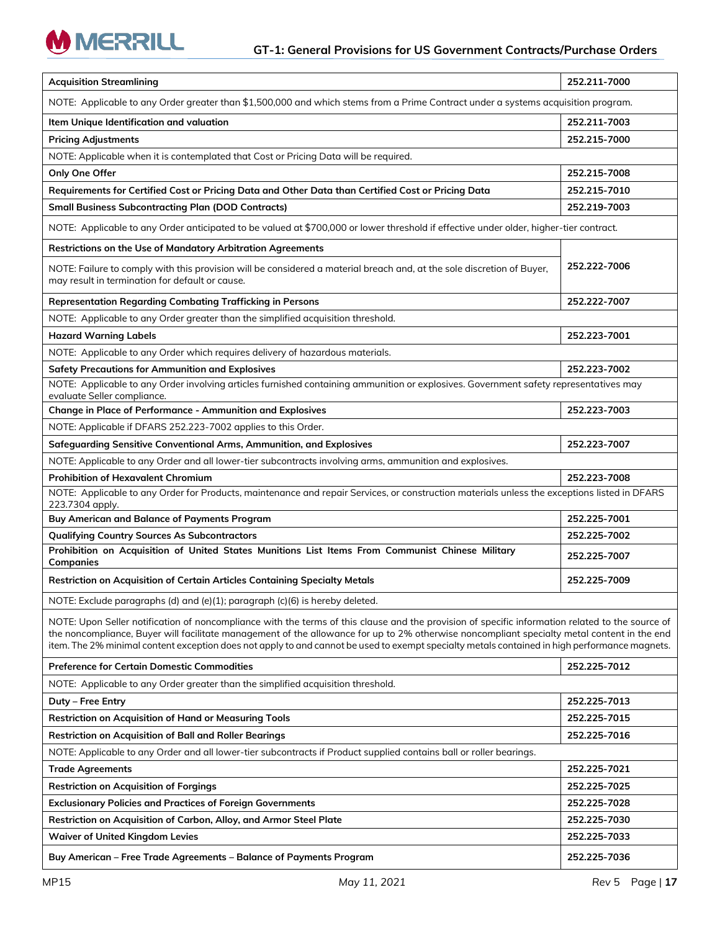

| <b>Acquisition Streamlining</b>                                                                                                                                                                                                                                                                                                                                                                                                                  | 252.211-7000 |
|--------------------------------------------------------------------------------------------------------------------------------------------------------------------------------------------------------------------------------------------------------------------------------------------------------------------------------------------------------------------------------------------------------------------------------------------------|--------------|
| NOTE: Applicable to any Order greater than \$1,500,000 and which stems from a Prime Contract under a systems acquisition program.                                                                                                                                                                                                                                                                                                                |              |
| Item Unique Identification and valuation                                                                                                                                                                                                                                                                                                                                                                                                         | 252.211-7003 |
| <b>Pricing Adjustments</b>                                                                                                                                                                                                                                                                                                                                                                                                                       | 252.215-7000 |
| NOTE: Applicable when it is contemplated that Cost or Pricing Data will be required.                                                                                                                                                                                                                                                                                                                                                             |              |
| Only One Offer                                                                                                                                                                                                                                                                                                                                                                                                                                   | 252.215-7008 |
| Requirements for Certified Cost or Pricing Data and Other Data than Certified Cost or Pricing Data                                                                                                                                                                                                                                                                                                                                               | 252.215-7010 |
| <b>Small Business Subcontracting Plan (DOD Contracts)</b>                                                                                                                                                                                                                                                                                                                                                                                        | 252.219-7003 |
| NOTE: Applicable to any Order anticipated to be valued at \$700,000 or lower threshold if effective under older, higher-tier contract.                                                                                                                                                                                                                                                                                                           |              |
| Restrictions on the Use of Mandatory Arbitration Agreements                                                                                                                                                                                                                                                                                                                                                                                      |              |
| NOTE: Failure to comply with this provision will be considered a material breach and, at the sole discretion of Buyer,<br>may result in termination for default or cause.                                                                                                                                                                                                                                                                        | 252.222-7006 |
| <b>Representation Regarding Combating Trafficking in Persons</b>                                                                                                                                                                                                                                                                                                                                                                                 | 252.222-7007 |
| NOTE: Applicable to any Order greater than the simplified acquisition threshold.                                                                                                                                                                                                                                                                                                                                                                 |              |
| <b>Hazard Warning Labels</b>                                                                                                                                                                                                                                                                                                                                                                                                                     | 252.223-7001 |
| NOTE: Applicable to any Order which requires delivery of hazardous materials.                                                                                                                                                                                                                                                                                                                                                                    |              |
| <b>Safety Precautions for Ammunition and Explosives</b>                                                                                                                                                                                                                                                                                                                                                                                          | 252.223-7002 |
| NOTE: Applicable to any Order involving articles furnished containing ammunition or explosives. Government safety representatives may<br>evaluate Seller compliance.                                                                                                                                                                                                                                                                             |              |
| Change in Place of Performance - Ammunition and Explosives                                                                                                                                                                                                                                                                                                                                                                                       | 252.223-7003 |
| NOTE: Applicable if DFARS 252.223-7002 applies to this Order.                                                                                                                                                                                                                                                                                                                                                                                    |              |
| Safeguarding Sensitive Conventional Arms, Ammunition, and Explosives                                                                                                                                                                                                                                                                                                                                                                             | 252.223-7007 |
| NOTE: Applicable to any Order and all lower-tier subcontracts involving arms, ammunition and explosives.                                                                                                                                                                                                                                                                                                                                         |              |
| <b>Prohibition of Hexavalent Chromium</b>                                                                                                                                                                                                                                                                                                                                                                                                        | 252.223-7008 |
| NOTE: Applicable to any Order for Products, maintenance and repair Services, or construction materials unless the exceptions listed in DFARS<br>223.7304 apply.                                                                                                                                                                                                                                                                                  |              |
| <b>Buy American and Balance of Payments Program</b>                                                                                                                                                                                                                                                                                                                                                                                              | 252.225-7001 |
| <b>Qualifying Country Sources As Subcontractors</b>                                                                                                                                                                                                                                                                                                                                                                                              | 252.225-7002 |
| Prohibition on Acquisition of United States Munitions List Items From Communist Chinese Military<br>Companies                                                                                                                                                                                                                                                                                                                                    | 252.225-7007 |
| Restriction on Acquisition of Certain Articles Containing Specialty Metals                                                                                                                                                                                                                                                                                                                                                                       | 252.225-7009 |
| NOTE: Exclude paragraphs (d) and (e)(1); paragraph (c)(6) is hereby deleted.                                                                                                                                                                                                                                                                                                                                                                     |              |
| NOTE: Upon Seller notification of noncompliance with the terms of this clause and the provision of specific information related to the source of<br>the noncompliance, Buyer will facilitate management of the allowance for up to 2% otherwise noncompliant specialty metal content in the end<br>item. The 2% minimal content exception does not apply to and cannot be used to exempt specialty metals contained in high performance magnets. |              |
| <b>Preference for Certain Domestic Commodities</b>                                                                                                                                                                                                                                                                                                                                                                                               | 252.225-7012 |
| NOTE: Applicable to any Order greater than the simplified acquisition threshold.                                                                                                                                                                                                                                                                                                                                                                 |              |
| Duty – Free Entry                                                                                                                                                                                                                                                                                                                                                                                                                                | 252.225-7013 |
| <b>Restriction on Acquisition of Hand or Measuring Tools</b>                                                                                                                                                                                                                                                                                                                                                                                     | 252.225-7015 |
| <b>Restriction on Acquisition of Ball and Roller Bearings</b>                                                                                                                                                                                                                                                                                                                                                                                    | 252.225-7016 |
| NOTE: Applicable to any Order and all lower-tier subcontracts if Product supplied contains ball or roller bearings.                                                                                                                                                                                                                                                                                                                              |              |
| <b>Trade Agreements</b>                                                                                                                                                                                                                                                                                                                                                                                                                          | 252.225-7021 |
| <b>Restriction on Acquisition of Forgings</b>                                                                                                                                                                                                                                                                                                                                                                                                    | 252.225-7025 |
| <b>Exclusionary Policies and Practices of Foreign Governments</b>                                                                                                                                                                                                                                                                                                                                                                                | 252.225-7028 |
| Restriction on Acquisition of Carbon, Alloy, and Armor Steel Plate                                                                                                                                                                                                                                                                                                                                                                               | 252.225-7030 |
| <b>Waiver of United Kingdom Levies</b>                                                                                                                                                                                                                                                                                                                                                                                                           |              |
|                                                                                                                                                                                                                                                                                                                                                                                                                                                  | 252.225-7033 |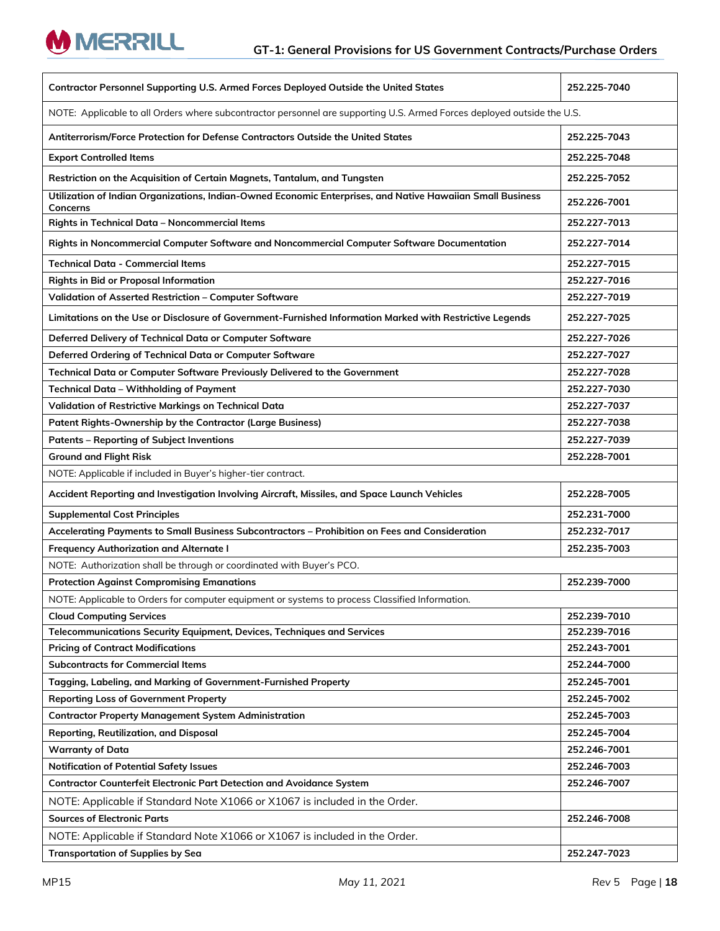

| <b>Contractor Personnel Supporting U.S. Armed Forces Deployed Outside the United States</b>                             | 252.225-7040 |
|-------------------------------------------------------------------------------------------------------------------------|--------------|
| NOTE: Applicable to all Orders where subcontractor personnel are supporting U.S. Armed Forces deployed outside the U.S. |              |
| Antiterrorism/Force Protection for Defense Contractors Outside the United States                                        | 252.225-7043 |
| <b>Export Controlled Items</b>                                                                                          | 252.225-7048 |
| Restriction on the Acquisition of Certain Magnets, Tantalum, and Tungsten                                               | 252.225-7052 |
| Utilization of Indian Organizations, Indian-Owned Economic Enterprises, and Native Hawaiian Small Business<br>Concerns  | 252.226-7001 |
| Rights in Technical Data - Noncommercial Items                                                                          | 252.227-7013 |
| Rights in Noncommercial Computer Software and Noncommercial Computer Software Documentation                             | 252.227-7014 |
| <b>Technical Data - Commercial Items</b>                                                                                | 252.227-7015 |
| <b>Rights in Bid or Proposal Information</b>                                                                            | 252.227-7016 |
| Validation of Asserted Restriction - Computer Software                                                                  | 252.227-7019 |
| Limitations on the Use or Disclosure of Government-Furnished Information Marked with Restrictive Legends                | 252.227-7025 |
| Deferred Delivery of Technical Data or Computer Software                                                                | 252.227-7026 |
| Deferred Ordering of Technical Data or Computer Software                                                                | 252.227-7027 |
| Technical Data or Computer Software Previously Delivered to the Government                                              | 252.227-7028 |
| Technical Data - Withholding of Payment                                                                                 | 252.227-7030 |
| Validation of Restrictive Markings on Technical Data                                                                    | 252.227-7037 |
| Patent Rights-Ownership by the Contractor (Large Business)                                                              | 252.227-7038 |
| <b>Patents - Reporting of Subject Inventions</b>                                                                        | 252.227-7039 |
| <b>Ground and Flight Risk</b>                                                                                           | 252.228-7001 |
| NOTE: Applicable if included in Buyer's higher-tier contract.                                                           |              |
| Accident Reporting and Investigation Involving Aircraft, Missiles, and Space Launch Vehicles                            | 252.228-7005 |
| <b>Supplemental Cost Principles</b>                                                                                     | 252.231-7000 |
| Accelerating Payments to Small Business Subcontractors - Prohibition on Fees and Consideration                          | 252.232-7017 |
| <b>Frequency Authorization and Alternate I</b>                                                                          | 252.235-7003 |
| NOTE: Authorization shall be through or coordinated with Buyer's PCO.                                                   |              |
| <b>Protection Against Compromising Emanations</b>                                                                       | 252.239-7000 |
| NOTE: Applicable to Orders for computer equipment or systems to process Classified Information.                         |              |
| <b>Cloud Computing Services</b>                                                                                         | 252.239-7010 |
| Telecommunications Security Equipment, Devices, Techniques and Services                                                 | 252.239-7016 |
| <b>Pricing of Contract Modifications</b>                                                                                | 252.243-7001 |
| <b>Subcontracts for Commercial Items</b>                                                                                | 252.244-7000 |
| Tagging, Labeling, and Marking of Government-Furnished Property                                                         | 252.245-7001 |
| <b>Reporting Loss of Government Property</b>                                                                            | 252.245-7002 |
| <b>Contractor Property Management System Administration</b>                                                             | 252.245-7003 |
| Reporting, Reutilization, and Disposal                                                                                  | 252.245-7004 |
| <b>Warranty of Data</b>                                                                                                 | 252.246-7001 |
| <b>Notification of Potential Safety Issues</b>                                                                          | 252.246-7003 |
| <b>Contractor Counterfeit Electronic Part Detection and Avoidance System</b>                                            | 252.246-7007 |
| NOTE: Applicable if Standard Note X1066 or X1067 is included in the Order.                                              |              |
| Sources of Electronic Parts                                                                                             | 252.246-7008 |
| NOTE: Applicable if Standard Note X1066 or X1067 is included in the Order.                                              |              |
| <b>Transportation of Supplies by Sea</b>                                                                                | 252.247-7023 |